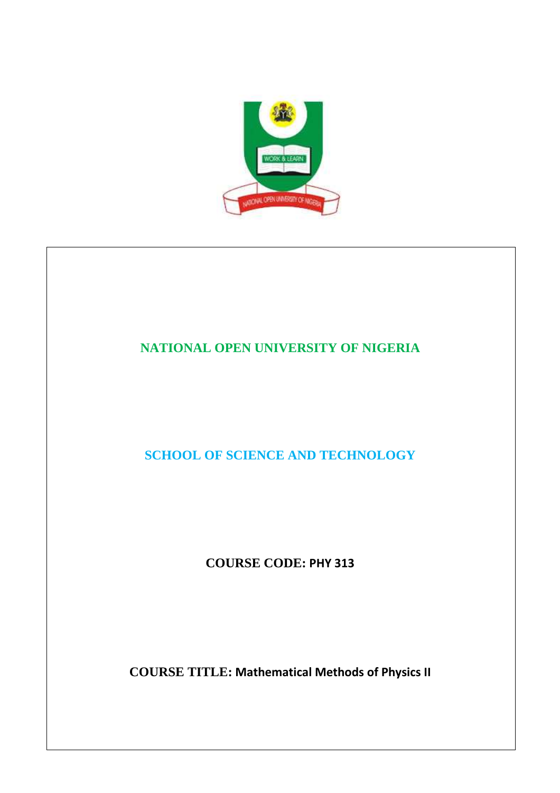

# **NATIONAL OPEN UNIVERSITY OF NIGERIA**

**SCHOOL OF SCIENCE AND TECHNOLOGY** 

**COURSE CODE: PHY 313** 

**COURSE TITLE: Mathematical Methods of Physics II**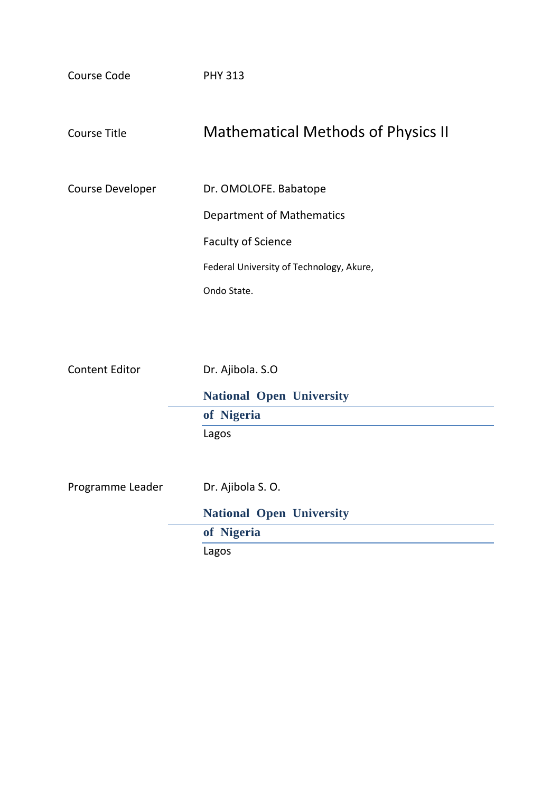| Course Code      | <b>PHY 313</b>                            |
|------------------|-------------------------------------------|
| Course Title     | <b>Mathematical Methods of Physics II</b> |
| Course Developer | Dr. OMOLOFE. Babatope                     |
|                  | Department of Mathematics                 |
|                  | <b>Faculty of Science</b>                 |
|                  | Federal University of Technology, Akure,  |
|                  | Ondo State.                               |
|                  |                                           |

| <b>Content Editor</b> | Dr. Ajibola. S.O                |
|-----------------------|---------------------------------|
|                       | <b>National Open University</b> |
|                       | of Nigeria                      |
|                       | Lagos                           |
|                       |                                 |
| Programme Leader      | Dr. Ajibola S. O.               |
|                       | <b>National Open University</b> |
|                       | of Nigeria                      |
|                       | Lagos                           |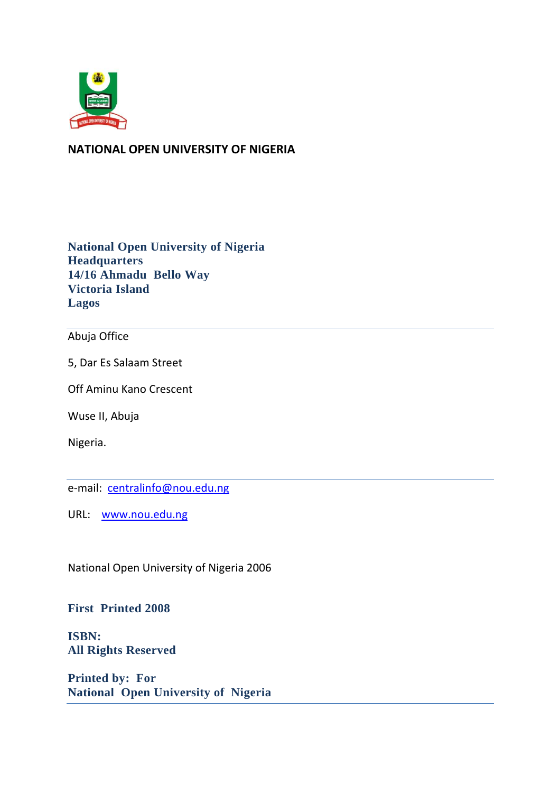

# **NATIONAL OPEN UNIVERSITY OF NIGERIA**

**National Open University of Nigeria Headquarters 14/16 Ahmadu Bello Way Victoria Island Lagos** 

## Abuja Office

5, Dar Es Salaam Street

Off Aminu Kano Crescent

Wuse II, Abuja

Nigeria.

e-mail: centralinfo@nou.edu.ng

URL: www.nou.edu.ng

National Open University of Nigeria 2006

#### **First Printed 2008**

**ISBN: All Rights Reserved** 

**Printed by: For National Open University of Nigeria**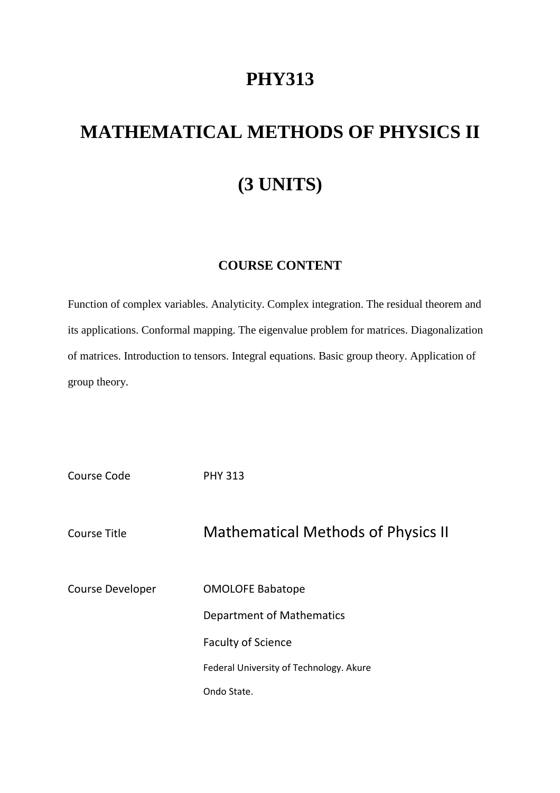# **PHY313**

# **MATHEMATICAL METHODS OF PHYSICS II (3 UNITS)**

# **COURSE CONTENT**

Function of complex variables. Analyticity. Complex integration. The residual theorem and its applications. Conformal mapping. The eigenvalue problem for matrices. Diagonalization of matrices. Introduction to tensors. Integral equations. Basic group theory. Application of group theory.

| Course Code      | <b>PHY 313</b>                            |
|------------------|-------------------------------------------|
| Course Title     | <b>Mathematical Methods of Physics II</b> |
| Course Developer | <b>OMOLOFE Babatope</b>                   |
|                  | Department of Mathematics                 |
|                  | <b>Faculty of Science</b>                 |
|                  | Federal University of Technology. Akure   |
|                  | Ondo State.                               |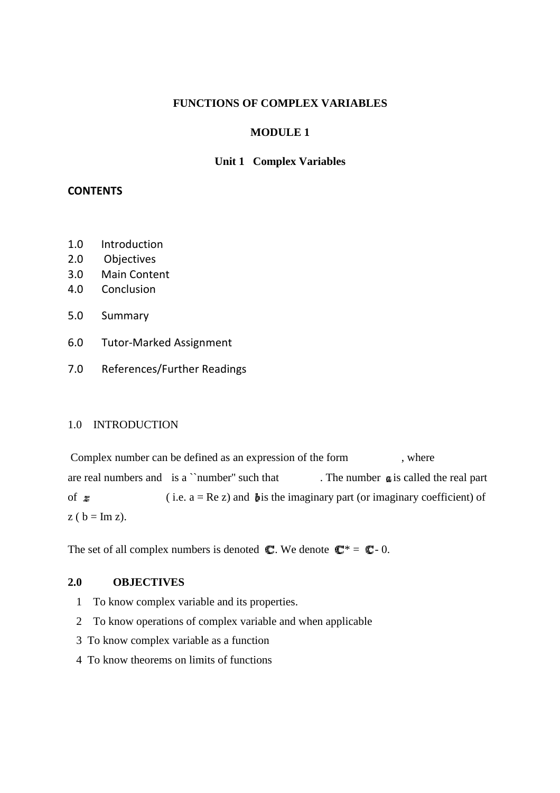#### **FUNCTIONS OF COMPLEX VARIABLES**

#### **MODULE 1**

#### **Unit 1 Complex Variables**

#### **CONTENTS**

- 1.0 Introduction
- 2.0 Objectives
- 3.0 Main Content
- 4.0 Conclusion
- 5.0 Summary
- 6.0 Tutor-Marked Assignment Marked
- 7.0 References/Further Readings

#### 1.0 INTRODUCTION

Complex number can be defined as an expression of the form, where are real numbers and is a ``number'' such that of  $\boldsymbol{z}$  (i.e. a = Re z) and **b** is the imaginary part (or imaginary coefficient) of  $z ( b = Im z).$ . The number  $\boldsymbol{\alpha}$  is called the real part

The set of all complex numbers is denoted  $\mathbb{C}$ . We denote  $\mathbb{C}^* = \mathbb{C}$ -0.

## **2.0 OBJECTIVES**

- 1 To know complex variable and its properties.
- 2 To know operations of complex variable and when applicable
	- 3 To know complex variable as a function
- 4 To know theorems on limits of functions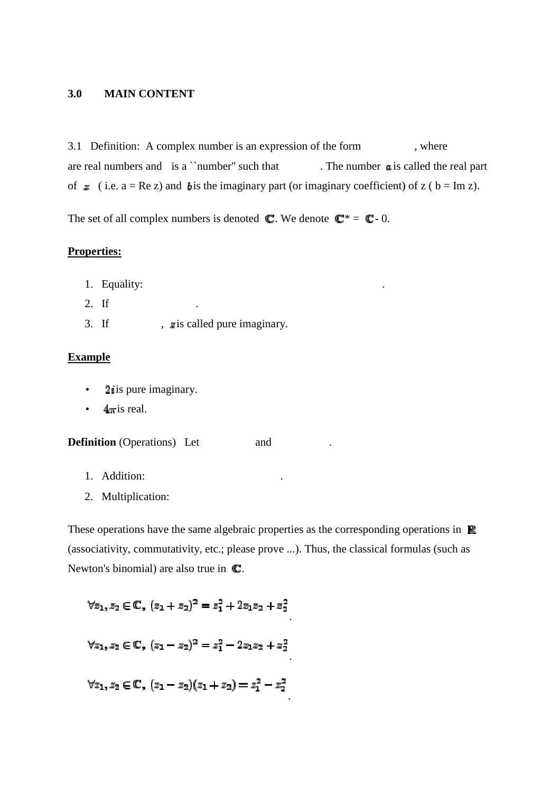#### **3.0 MAIN CONTENT**

3.1 Definition: A complex number is an expression of the form are real numbers and is a ``number'' such that of  $\approx$  (i.e. a = Re z) and b is the imaginary part (or imaginary coefficient) of z (b = Im z). . The number  $\boldsymbol{a}$  is called the real part , where

.

The set of all complex numbers is denoted  $\mathbb{C}$ . We denote  $\mathbb{C}^* = \mathbb{C}$ -0.

#### **Properties:**

- 1. Equality:
- 2. If
- 3. If  $\qquad \qquad$  , x is called pure imaginary.

#### **Example**

- **2***i* is pure imaginary.
- $4\pi$  is real.

**Definition** (Operations) Let and .

- 1. Addition:
- 2. Multiplication:

These operations have the same algebraic properties as the corresponding operations in  $\mathbb{R}$ (associativity, commutativity, etc.; please prove ...). Thus, the classical formulas (such as Newton's binomial) are also true in  $\mathbb{C}$ .

.

.

 $\forall z_1,z_2 \in \mathbb{C}, \; (z_1+z_2)^2 = z_1^2 + 2 z_1 z_2 + z_2^2$ 

.

$$
\forall z_1, z_2 \in \mathbb{C}, \ (z_1 - z_2)(z_1 + z_2) = z_1^2 - z_2^2
$$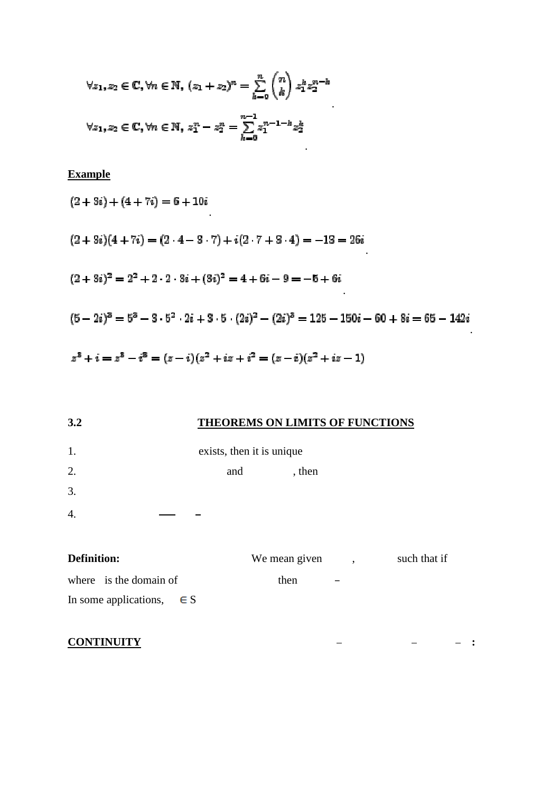$$
\forall z_1, z_2 \in \mathbb{C}, \forall n \in \mathbb{N}, (z_1 + z_2)^n = \sum_{k=0}^n {n \choose k} z_1^k z_2^{n-k}
$$

$$
\forall z_1, z_2 \in \mathbb{C}, \forall n \in \mathbb{N}, z_1^n - z_2^n = \sum_{k=0}^{n-1} z_1^{n-1-k} z_2^k
$$

**Example** 

$$
(2+3i) + (4+7i) = 6 + 10i
$$
  
\n
$$
(2+3i)(4+7i) = (2 \cdot 4 - 3 \cdot 7) + i(2 \cdot 7 + 3 \cdot 4) = -13 = 26i
$$
  
\n
$$
(2+3i)^2 = 2^2 + 2 \cdot 2 \cdot 3i + (3i)^2 = 4 + 6i - 9 = -5 + 6i
$$
  
\n
$$
(5-2i)^3 = 5^3 - 3 \cdot 5^2 \cdot 2i + 3 \cdot 5 \cdot (2i)^2 - (2i)^3 = 125 - 150i - 60 + 8i = 65 - 142i
$$
  
\n
$$
z^3 + i = z^3 - i^3 = (z-i)(z^2 + iz + i^2 = (z-i)(z^2 + iz - 1)
$$

.

| 3.2                              | <b>THEOREMS ON LIMITS OF FUNCTIONS</b> |                      |              |
|----------------------------------|----------------------------------------|----------------------|--------------|
| 1.                               | exists, then it is unique              |                      |              |
| 2.                               | , then<br>and                          |                      |              |
| 3.                               |                                        |                      |              |
| $\overline{4}$ .                 |                                        |                      |              |
| Definition:                      | We mean given                          | $\ddot{\phantom{0}}$ | such that if |
| where is the domain of           | then                                   |                      |              |
| In some applications,<br>$\in$ S |                                        |                      |              |

**:** 

**CONTINUITY**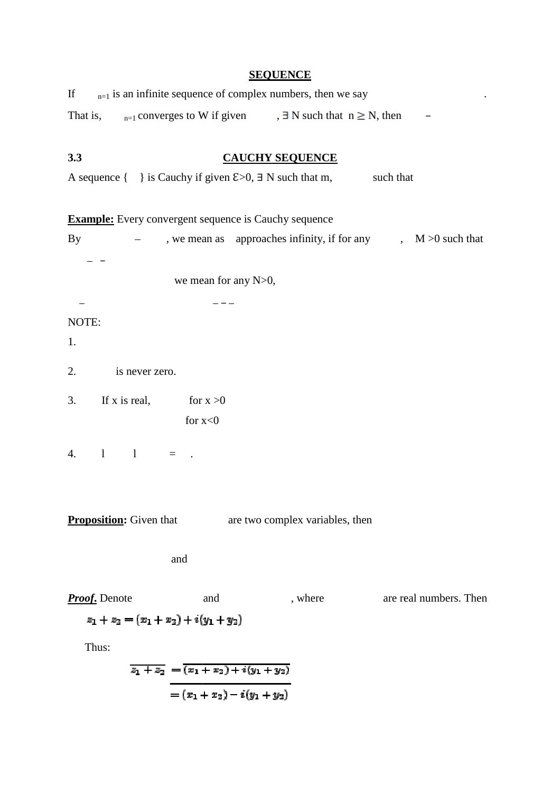| <b>SEQUENCE</b> |  |
|-----------------|--|
|                 |  |

| $_{n=1}$ is an infinite sequence of complex numbers, then we say<br>If                     |
|--------------------------------------------------------------------------------------------|
| $_{n=1}$ converges to W if given , $\exists$ N such that $n \ge N$ , then<br>That is,      |
|                                                                                            |
| 3.3<br><b>CAUCHY SEQUENCE</b>                                                              |
| A sequence $\{\ \}$ is Cauchy if given $\epsilon > 0$ , $\exists$ N such that m, such that |
| <b>Example:</b> Every convergent sequence is Cauchy sequence                               |
| , we mean as approaches infinity, if for any $M > 0$ such that<br>$\mathbf{By}$            |
|                                                                                            |
| we mean for any N>0,                                                                       |
|                                                                                            |
| NOTE:                                                                                      |
| 1.                                                                                         |
|                                                                                            |
| 2.<br>is never zero.                                                                       |
| If x is real, for $x > 0$<br>3.                                                            |
| for $x<0$                                                                                  |
|                                                                                            |
| $1 \quad 1 \quad = \quad .$<br>4.                                                          |
|                                                                                            |
|                                                                                            |
| <b>Proposition:</b> Given that<br>are two complex variables, then                          |
| and                                                                                        |
|                                                                                            |
| <b>Proof.</b> Denote<br>and<br>are real numbers. Then<br>, where                           |
| $z_1 + z_2 = (x_1 + x_2) + i(y_1 + y_2)$                                                   |
| Thus:                                                                                      |
| $\overline{z_1+z_2} = \overline{(x_1+x_2)+i(y_1+y_2)}$                                     |
| $=(x_1+x_2)-i(y_1+y_2)$                                                                    |
|                                                                                            |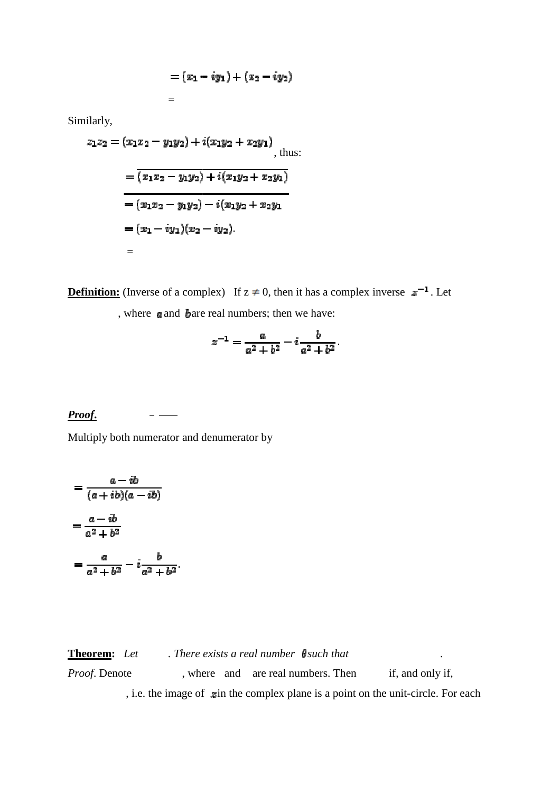$$
=(x_1-iy_1)+(x_2-iy_2)
$$

Similarly,

$$
z_1 z_2 = (x_1 x_2 - y_1 y_2) + i(x_1 y_2 + x_2 y_1),
$$
 thus:  
=  $\overline{(x_1 x_2 - y_1 y_2) + i(x_1 y_2 + x_2 y_1)}$   
=  $(x_1 x_2 - y_1 y_2) - i(x_1 y_2 + x_2 y_1)$   
=  $(x_1 - iy_1)(x_2 - iy_2).$   
=

=

**Definition:** (Inverse of a complex) If  $z \neq 0$ , then it has a complex inverse  $z^{-1}$ . Let , where a and bare real numbers; then we have:

$$
z^{-1} = \frac{a}{a^2 + b^2} - i \frac{b}{a^2 + b^2}.
$$

*Proof***.**  $\frac{1}{2}$ 

Multiply both numerator and denumerator by

$$
=\frac{a-ib}{(a+ib)(a-ib)}
$$

$$
=\frac{a-ib}{a^2+b^2}
$$

$$
=\frac{a}{a^2+b^2}-i\frac{b}{a^2+b^2}.
$$

**Theorem:** Let There exists a real number **f** such that *Proof.* Denote , i.e. the image of  $\boldsymbol{\Sigma}$  in the complex plane is a point on the unit-circle. For each , where and are real numbers. Then if, and only if, *.*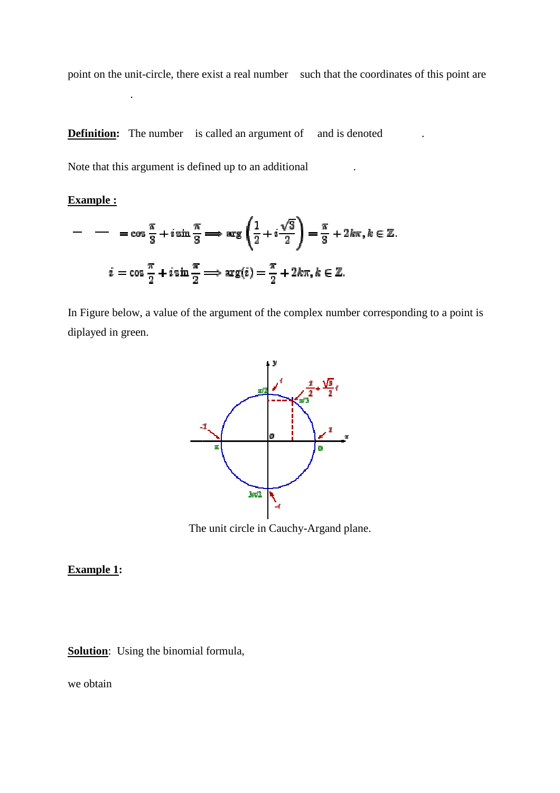point on the unit-circle, there exist a real number such that the coordinates of this point are

.

.

**Definition:** The number is called an argument of and is denoted

Note that this argument is defined up to an additional

#### **Example :**

.

$$
- - \cos \frac{\pi}{3} + i \sin \frac{\pi}{3} \implies \arg \left( \frac{1}{2} + i \frac{\sqrt{3}}{2} \right) = \frac{\pi}{3} + 2k\pi, k \in \mathbb{Z}.
$$
  

$$
i = \cos \frac{\pi}{2} + i \sin \frac{\pi}{2} \implies \arg(i) = \frac{\pi}{2} + 2k\pi, k \in \mathbb{Z}.
$$

In Figure below, a value of the argument of the complex number corresponding to a point is diplayed in green.



The unit circle in Cauchy-Argand plane.

#### **Example 1:**

**Solution**: Using the binomial formula,

we obtain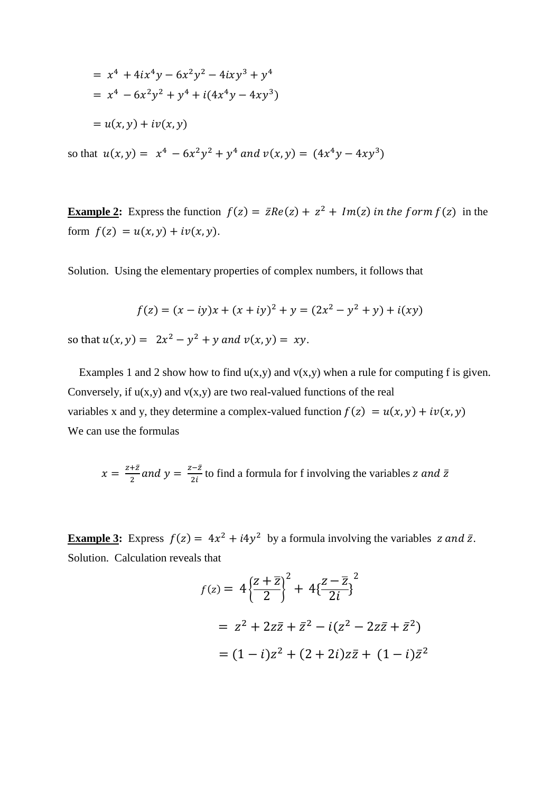$$
= x4 + 4ix4y - 6x2y2 - 4ixy3 + y4
$$
  
= x<sup>4</sup> - 6x<sup>2</sup>y<sup>2</sup> + y<sup>4</sup> + i(4x<sup>4</sup>y - 4xy<sup>3</sup>)  
= u(x, y) + iv(x, y)

so that  $u(x, y) = x^4 - 6x^2y^2 + y^4$  and  $v(x, y) = (4x^4y - 4xy^3)$ 

**Example 2:** Express the function  $f(z) = \bar{z}Re(z) + z^2 + Im(z)$  in the form  $f(z)$  in the form  $f(z) = u(x, y) + iv(x, y)$ .

Solution. Using the elementary properties of complex numbers, it follows that

$$
f(z) = (x - iy)x + (x + iy)^2 + y = (2x^2 - y^2 + y) + i(xy)
$$

so that  $u(x, y) = 2x^2 - y^2 + y$  and  $v(x, y) = xy$ .

Examples 1 and 2 show how to find  $u(x,y)$  and  $v(x,y)$  when a rule for computing f is given. Conversely, if  $u(x,y)$  and  $v(x,y)$  are two real-valued functions of the real variables x and y, they determine a complex-valued function  $f(z) = u(x, y) + iv(x, y)$ We can use the formulas

$$
x = \frac{z + \bar{z}}{2}
$$
 and 
$$
y = \frac{z - \bar{z}}{2i}
$$
 to find a formula for f involving the variables z and  $\bar{z}$ 

**Example 3:** Express  $f(z) = 4x^2 + i4y^2$  by a formula involving the variables z and  $\bar{z}$ . Solution. Calculation reveals that

$$
f(z) = 4\left\{\frac{z+\overline{z}}{2}\right\}^2 + 4\left\{\frac{z-\overline{z}}{2i}\right\}^2
$$

$$
= z^2 + 2z\overline{z} + \overline{z}^2 - i(z^2 - 2z\overline{z} + \overline{z}^2)
$$

$$
= (1-i)z^2 + (2+2i)z\overline{z} + (1-i)\overline{z}^2
$$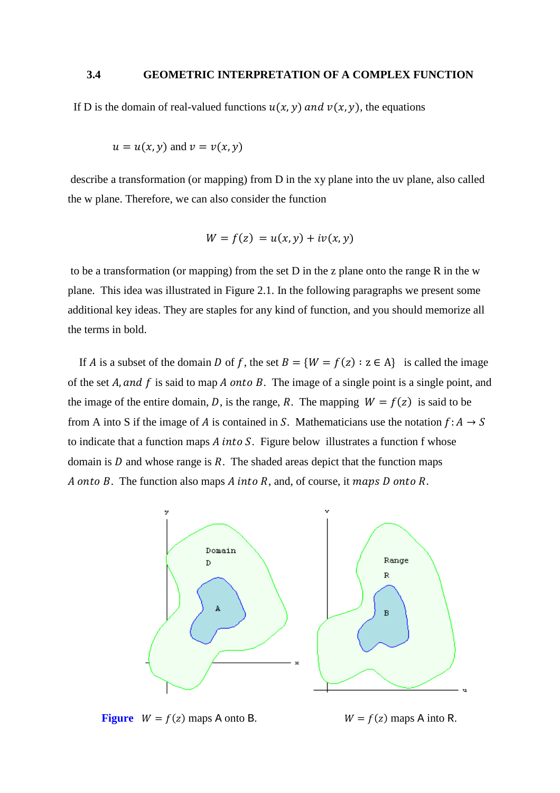#### **3.4 GEOMETRIC INTERPRETATION OF A COMPLEX FUNCTION**

If D is the domain of real-valued functions  $u(x, y)$  and  $v(x, y)$ , the equations

$$
u = u(x, y) \text{ and } v = v(x, y)
$$

 describe a transformation (or mapping) from D in the xy plane into the uv plane, also called the w plane. Therefore, we can also consider the function

$$
W = f(z) = u(x, y) + iv(x, y)
$$

 to be a transformation (or mapping) from the set D in the z plane onto the range R in the w plane. This idea was illustrated in Figure 2.1. In the following paragraphs we present some additional key ideas. They are staples for any kind of function, and you should memorize all the terms in bold.

If A is a subset of the domain D of f, the set  $B = \{W = f(z) : z \in A\}$  is called the image of the set  $A$ , and  $f$  is said to map  $A$  onto  $B$ . The image of a single point is a single point, and the image of the entire domain, D, is the range, R. The mapping  $W = f(z)$  is said to be from A into S if the image of A is contained in S. Mathematicians use the notation  $f: A \rightarrow S$ to indicate that a function maps  $A$  into  $S$ . Figure below illustrates a function  $f$  whose domain is  $D$  and whose range is  $R$ . The shaded areas depict that the function maps A onto B. The function also maps A into R, and, of course, it maps D onto R.



**Figure**  $W = f(z)$  maps A onto B.  $W = f(z)$  maps A into R.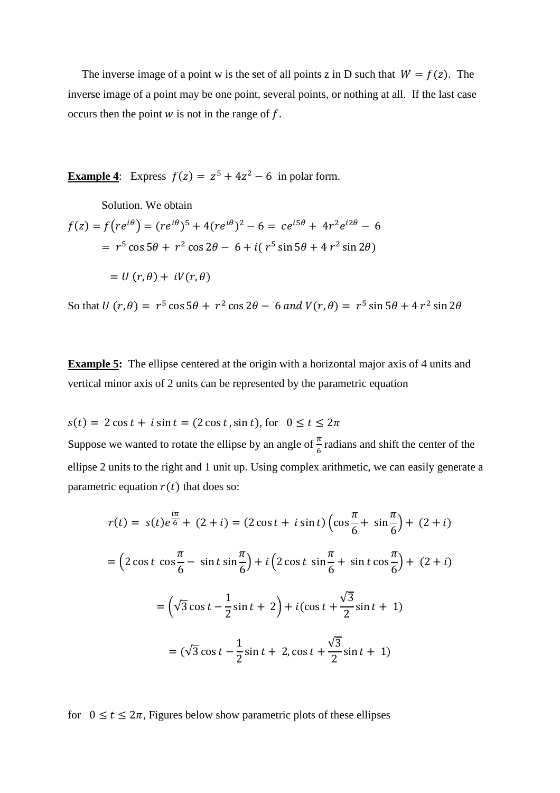The inverse image of a point w is the set of all points z in D such that  $W = f(z)$ . The inverse image of a point may be one point, several points, or nothing at all. If the last case occurs then the point  $W$  is not in the range of  $f$ .

**Example 4:** Express  $f(z) = z^5 + 4z^2 - 6$  in polar form.

Solution. We obtain  
\n
$$
f(z) = f(re^{i\theta}) = (re^{i\theta})^5 + 4(re^{i\theta})^2 - 6 = ce^{i5\theta} + 4r^2e^{i2\theta} - 6
$$
\n
$$
= r^5 \cos 5\theta + r^2 \cos 2\theta - 6 + i(r^5 \sin 5\theta + 4r^2 \sin 2\theta)
$$
\n
$$
= U(r, \theta) + iV(r, \theta)
$$

So that  $U(r, \theta) = r^5 \cos 5\theta + r^2 \cos 2\theta - 6$  and  $V(r, \theta) = r^5 \sin 5\theta + 4 r^2 \sin 2\theta$ 

**Example 5:** The ellipse centered at the origin with a horizontal major axis of 4 units and vertical minor axis of 2 units can be represented by the parametric equation

 $s(t) = 2 \cos t + i \sin t = (2 \cos t, \sin t)$ , for  $0 \le t \le 2\pi$ 

Suppose we wanted to rotate the ellipse by an angle of  $\frac{\pi}{6}$  radians and shift the center of the ellipse 2 units to the right and 1 unit up. Using complex arithmetic, we can easily generate a parametric equation  $r(t)$  that does so:

$$
r(t) = s(t)e^{\frac{i\pi}{6}} + (2+i) = (2\cos t + i\sin t)\left(\cos\frac{\pi}{6} + \sin\frac{\pi}{6}\right) + (2+i)
$$
  
=  $\left(2\cos t \cos\frac{\pi}{6} - \sin t \sin\frac{\pi}{6}\right) + i\left(2\cos t \sin\frac{\pi}{6} + \sin t \cos\frac{\pi}{6}\right) + (2+i)$   
=  $\left(\sqrt{3}\cos t - \frac{1}{2}\sin t + 2\right) + i(\cos t + \frac{\sqrt{3}}{2}\sin t + 1)$   
=  $(\sqrt{3}\cos t - \frac{1}{2}\sin t + 2, \cos t + \frac{\sqrt{3}}{2}\sin t + 1)$ 

for  $0 \le t \le 2\pi$ , Figures below show parametric plots of these ellipses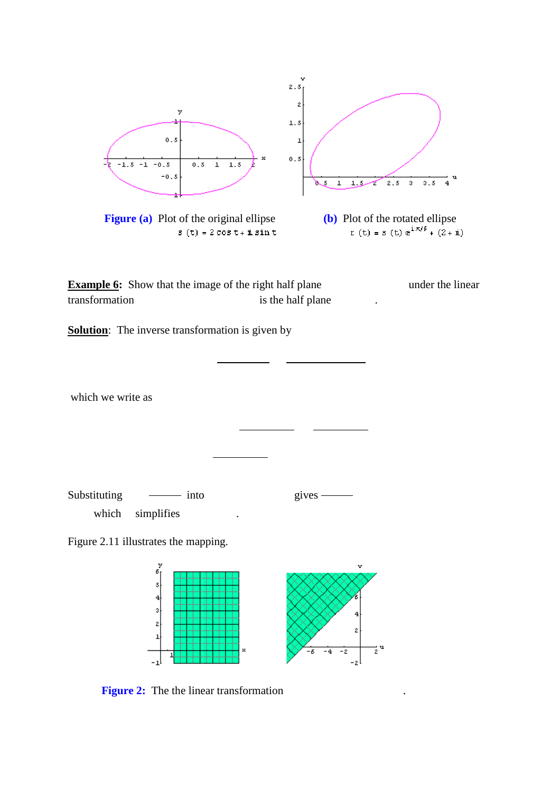

.

**Figure 2:** The the linear transformation .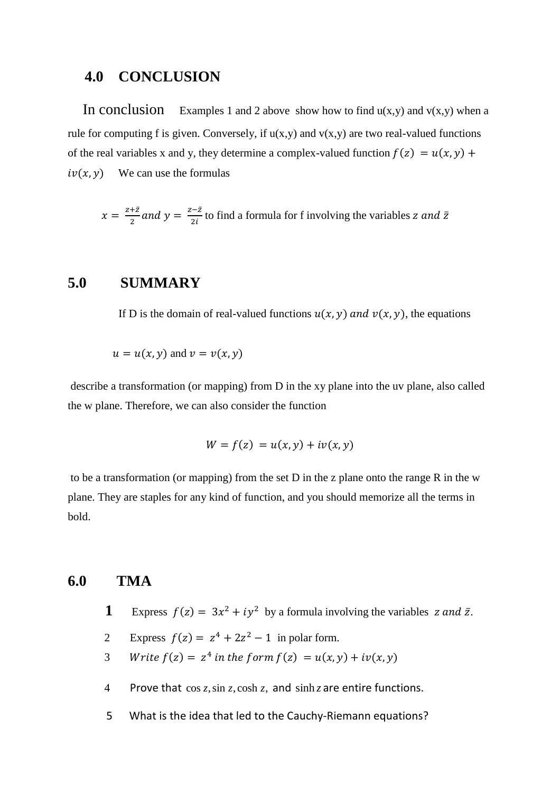# **4.0 CONCLUSION**

In conclusion Examples 1 and 2 above show how to find  $u(x,y)$  and  $v(x,y)$  when a rule for computing f is given. Conversely, if  $u(x,y)$  and  $v(x,y)$  are two real-valued functions of the real variables x and y, they determine a complex-valued function  $f(z) = u(x, y) +$  $iv(x, y)$ We can use the formulas

 $x=\frac{z+\bar{z}}{2}$  $\frac{1}{2} \frac{z}{2}$  and  $y = \frac{z - \bar{z}}{2i}$  to find a formula for f involving the variables z and  $\bar{z}$ 

# **5.0 SUMMARY**

If D is the domain of real-valued functions  $u(x, y)$  and  $v(x, y)$ , the equations

 $u = u(x, y)$  and  $v = v(x, y)$ 

 describe a transformation (or mapping) from D in the xy plane into the uv plane, also called the w plane. Therefore, we can also consider the function

$$
W = f(z) = u(x, y) + iv(x, y)
$$

 to be a transformation (or mapping) from the set D in the z plane onto the range R in the w plane. They are staples for any kind of function, and you should memorize all the terms in bold.

# **6.0 TMA**

- **1** Express  $f(z) = 3x^2 + iy^2$  by a formula involving the variables z and  $\bar{z}$ .
	- 2 Express  $f(z) = z^4 + 2z^2 1$  in polar form.
- 3 Write  $f(z) = z^4$  in the form  $f(z) = u(x, y) + iv(x, y)$ 
	- 4 Prove that  $\cos z$ ,  $\sin z$ ,  $\cosh z$ , and  $\sinh z$  are entire functions.
	- 5 What is the idea that led to the Cauchy-Riemann equations?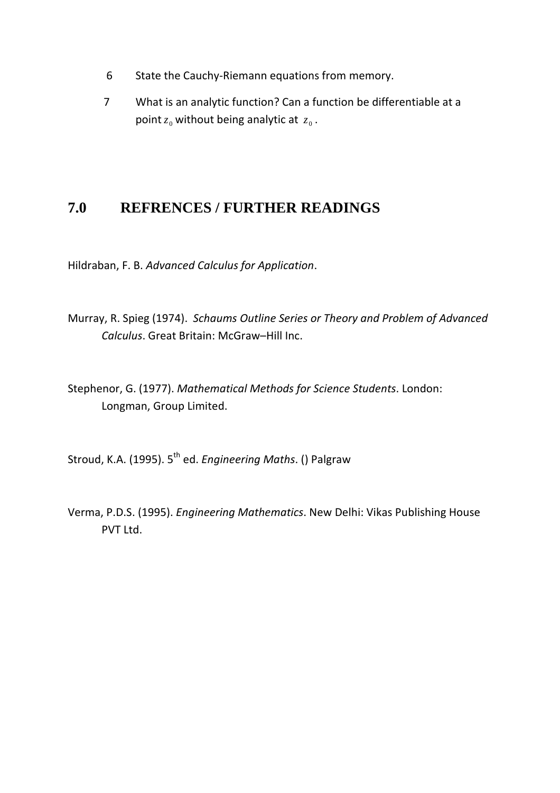- 6 State the Cauchy-Riemann equations from memory.
- 7 What is an analytic function? Can a function be differentiable at a point  $z_0$  without being analytic at  $z_0$ .

# **7.0 REFRENCES / FURTHER READINGS**

Hildraban, F. B. *Advanced Calculus for Application*.

- Murray, R. Spieg (1974). *Schaums Outline Series or Theory and Problem of Advanced Calculus*. Great Britain: McGraw–Hill Inc.
- Stephenor, G. (1977). *Mathematical Methods for Science Students*. London: Longman, Group Limited.

Stroud, K.A. (1995). 5th ed. *Engineering Maths*. () Palgraw

Verma, P.D.S. (1995). *Engineering Mathematics*. New Delhi: Vikas Publishing House PVT Ltd.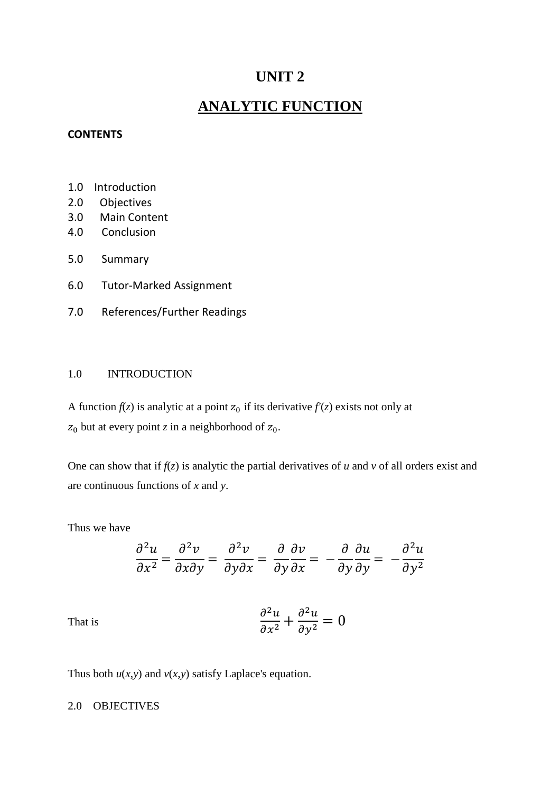# **UNIT 2**

# **ANALYTIC FUNCTION**

#### **CONTENTS**

- 1.0 Introduction
- 2.0 Objectives
- 3.0 Main Content
- 4.0 Conclusion
- 5.0 Summary
- 6.0 Tutor-Marked Assignment
- 7.0 References/Further Readings

#### 1.0 INTRODUCTION

A function  $f(z)$  is analytic at a point  $z_0$  if its derivative  $f'(z)$  exists not only at  $z_0$  but at every point *z* in a neighborhood of  $z_0$ .

One can show that if  $f(z)$  is analytic the partial derivatives of  $u$  and  $v$  of all orders exist and are continuous functions of *x* and *y*.

Thus we have

$$
\frac{\partial^2 u}{\partial x^2} = \frac{\partial^2 v}{\partial x \partial y} = \frac{\partial^2 v}{\partial y \partial x} = \frac{\partial}{\partial y} \frac{\partial v}{\partial x} = -\frac{\partial}{\partial y} \frac{\partial u}{\partial y} = -\frac{\partial^2 u}{\partial y^2}
$$

That is 
$$
\frac{\partial^2 u}{\partial x^2} + \frac{\partial^2 u}{\partial y^2} = 0
$$

Thus both  $u(x,y)$  and  $v(x,y)$  satisfy Laplace's equation.

#### 2.0 OBJECTIVES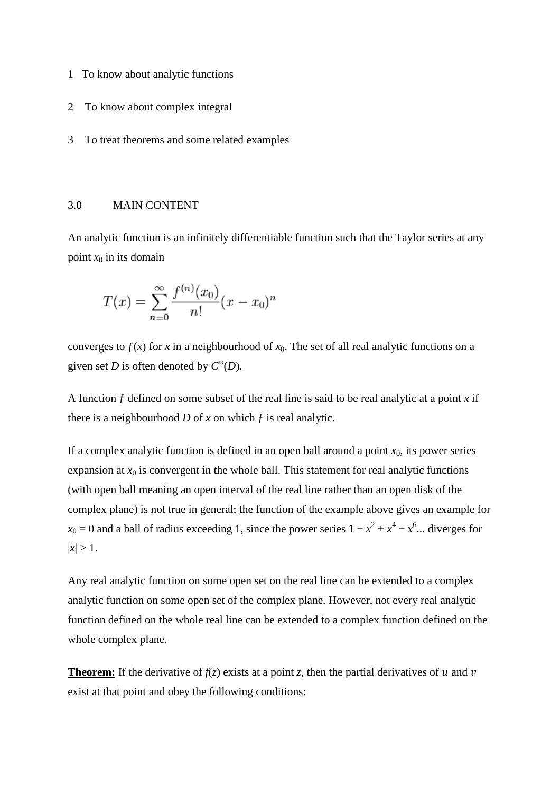- 1 To know about analytic functions
- 2 To know about complex integral
- 3 To treat theorems and some related examples

#### 3.0 MAIN CONTENT

An analytic function is an infinitely differentiable function such that the Taylor series at any point  $x_0$  in its domain

$$
T(x) = \sum_{n=0}^{\infty} \frac{f^{(n)}(x_0)}{n!} (x - x_0)^n
$$

converges to  $f(x)$  for x in a neighbourhood of  $x_0$ . The set of all real analytic functions on a given set *D* is often denoted by  $C^{\omega}(D)$ .

A function  $f$  defined on some subset of the real line is said to be real analytic at a point  $x$  if there is a neighbourhood  $D$  of  $x$  on which  $f$  is real analytic.

If a complex analytic function is defined in an open <u>ball</u> around a point  $x_0$ , its power series expansion at  $x_0$  is convergent in the whole ball. This statement for real analytic functions (with open ball meaning an open interval of the real line rather than an open disk of the complex plane) is not true in general; the function of the example above gives an example for  $x_0 = 0$  and a ball of radius exceeding 1, since the power series  $1 - x^2 + x^4 - x^6$ ... diverges for  $|x| > 1$ .

Any real analytic function on some open set on the real line can be extended to a complex analytic function on some open set of the complex plane. However, not every real analytic function defined on the whole real line can be extended to a complex function defined on the whole complex plane.

**Theorem:** If the derivative of  $f(z)$  exists at a point *z*, then the partial derivatives of  $u$  and  $v$ exist at that point and obey the following conditions: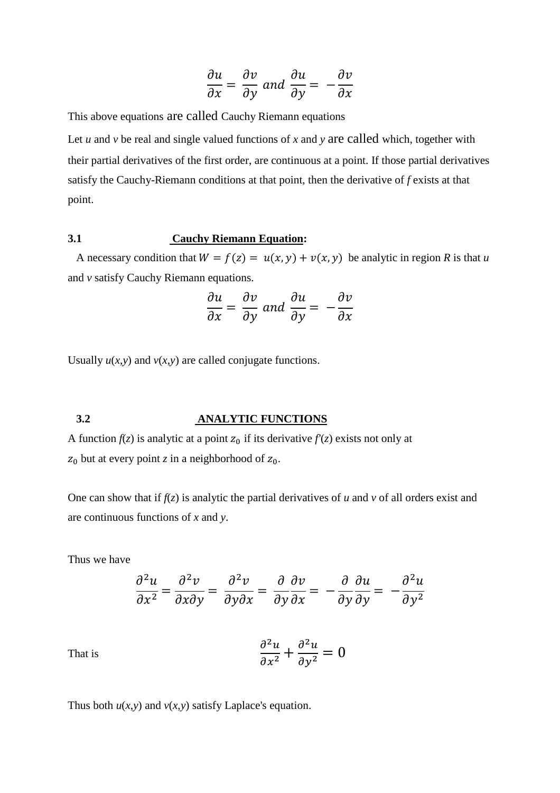$$
\frac{\partial u}{\partial x} = \frac{\partial v}{\partial y} \text{ and } \frac{\partial u}{\partial y} = -\frac{\partial v}{\partial x}
$$

This above equations are called Cauchy Riemann equations

Let *u* and *v* be real and single valued functions of *x* and *y* are called which, together with their partial derivatives of the first order, are continuous at a point. If those partial derivatives satisfy the Cauchy-Riemann conditions at that point, then the derivative of *f* exists at that point.

#### **3.1 Cauchy Riemann Equation:**

A necessary condition that  $W = f(z) = u(x, y) + v(x, y)$  be analytic in region *R* is that *u* and *v* satisfy Cauchy Riemann equations.

$$
\frac{\partial u}{\partial x} = \frac{\partial v}{\partial y} \text{ and } \frac{\partial u}{\partial y} = -\frac{\partial v}{\partial x}
$$

Usually  $u(x, y)$  and  $v(x, y)$  are called conjugate functions.

#### **3.2 ANALYTIC FUNCTIONS**

A function  $f(z)$  is analytic at a point  $z_0$  if its derivative  $f'(z)$  exists not only at  $z_0$  but at every point *z* in a neighborhood of  $z_0$ .

One can show that if  $f(z)$  is analytic the partial derivatives of  $u$  and  $v$  of all orders exist and are continuous functions of *x* and *y*.

Thus we have

$$
\frac{\partial^2 u}{\partial x^2} = \frac{\partial^2 v}{\partial x \partial y} = \frac{\partial^2 v}{\partial y \partial x} = \frac{\partial}{\partial y} \frac{\partial v}{\partial x} = -\frac{\partial}{\partial y} \frac{\partial u}{\partial y} = -\frac{\partial^2 u}{\partial y^2}
$$

That is 
$$
\frac{\partial^2 u}{\partial x^2} + \frac{\partial^2 u}{\partial y^2} = 0
$$

Thus both  $u(x, y)$  and  $v(x, y)$  satisfy Laplace's equation.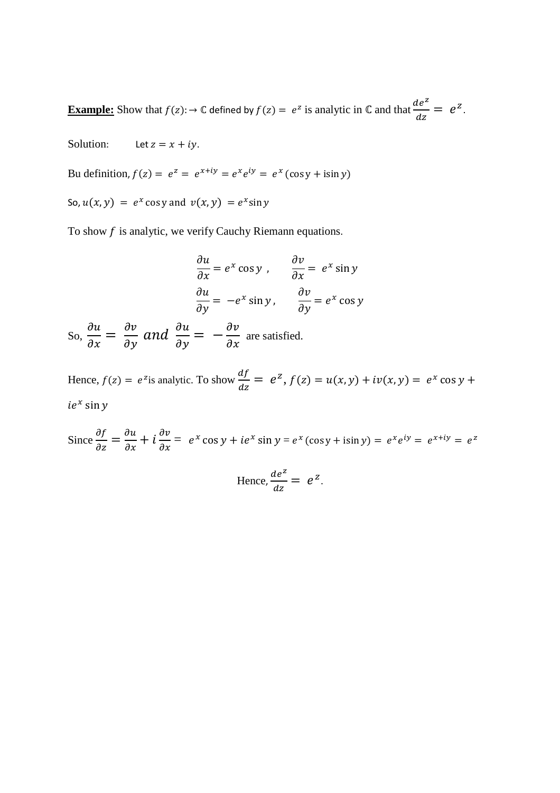**Example:** Show that  $f(z)$ :  $\rightarrow \mathbb{C}$  defined by  $f(z) = e^z$  is analytic in  $\mathbb{C}$  and that  $\frac{de^z}{dz}$  $\frac{ie}{dz} = e^z$ .

Solution: Let  $z = x + iy$ .

Bu definition,  $f(z) = e^z = e^{x+iy} = e^x e^{iy} = e^x (\cos y + i \sin y)$ 

So,  $u(x, y) = e^x \cos y$  and  $v(x, y) = e^x \sin y$ 

To show  $f$  is analytic, we verify Cauchy Riemann equations.

$$
\frac{\partial u}{\partial x} = e^x \cos y, \qquad \frac{\partial v}{\partial x} = e^x \sin y
$$
  

$$
\frac{\partial u}{\partial y} = -e^x \sin y, \qquad \frac{\partial v}{\partial y} = e^x \cos y
$$

So,  $\frac{\partial u}{\partial x} = \frac{\partial v}{\partial y}$  and  $\frac{\partial u}{\partial y} = -\frac{\partial v}{\partial x}$  are satisfied.

Hence,  $f(z) = e^{z}$  is analytic. To show  $\frac{df}{dz}$  $\frac{dy}{dz} = e^z$ ,  $f(z) = u(x, y) + iv(x, y) = e^x \cos y +$  $ie^x$  sin y

Since  $\frac{\partial f}{\partial z} = \frac{\partial u}{\partial x} + i \frac{\partial v}{\partial x} = e^x \cos y + ie^x \sin y = e^x (\cos y + i \sin y) = e^x e^{iy} = e^{x+iy} = e^z$ 

Hence, 
$$
\frac{de^z}{dz} = e^z
$$
.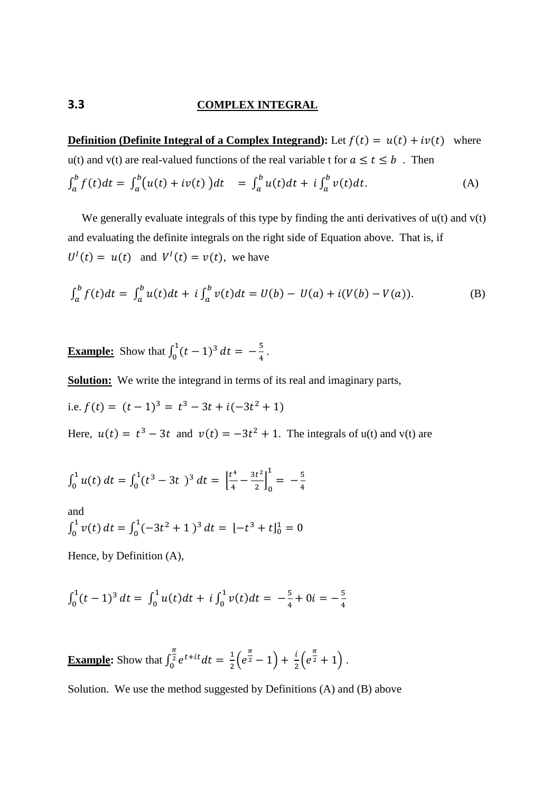#### **3.3 COMPLEX INTEGRAL**

**Definition (Definite Integral of a Complex Integrand):** Let  $f(t) = u(t) + iv(t)$  where u(t) and v(t) are real-valued functions of the real variable t for  $a \le t \le b$ . Then  $\int_{a}^{b} f(t)dt = \int_{a}^{b} (u(t) + iv(t))dt = \int_{a}^{b} u(t)dt + i \int_{a}^{b} v(t)dt$  $(A)$ 

We generally evaluate integrals of this type by finding the anti derivatives of  $u(t)$  and  $v(t)$ and evaluating the definite integrals on the right side of Equation above. That is, if  $U^I(t) = u(t)$  and  $V^I(t) = v(t)$ , we have

$$
\int_{a}^{b} f(t)dt = \int_{a}^{b} u(t)dt + i \int_{a}^{b} v(t)dt = U(b) - U(a) + i(V(b) - V(a)).
$$
 (B)

**Example:** Show that  $\int_0^1 (t-1)^3$  $\int_0^1 (t-1)^3 dt = -\frac{5}{4}.$ 

**Solution:** We write the integrand in terms of its real and imaginary parts,

i.e. 
$$
f(t) = (t-1)^3 = t^3 - 3t + i(-3t^2 + 1)
$$

Here,  $u(t) = t^3 - 3t$  and  $v(t) = -3t^2 + 1$ . The integrals of u(t) and v(t) are

$$
\int_0^1 u(t) \, dt = \int_0^1 (t^3 - 3t)^3 \, dt = \left[ \frac{t^4}{4} - \frac{3t^2}{2} \right]_0^1 = -\frac{5}{4}
$$

and  $\int_0^1 v(t) dt = \int_0^1 (-3t^2 + 1)^3$  $\int_0^1 (-3t^2 + 1)^3 dt = [-t^3 + t]_0^1 = 0$ 

Hence, by Definition (A),

$$
\int_0^1 (t-1)^3 dt = \int_0^1 u(t) dt + i \int_0^1 v(t) dt = -\frac{5}{4} + 0i = -\frac{5}{4}
$$

**<u>Example</u>:** Show that  $\int_0^{\pi} e^{t+it} dt$  $\int_{0}^{\frac{1}{2}} e^{t+it} dt = \frac{1}{2}$  $\frac{1}{2} \left( e^{\frac{\pi}{2}} - 1 \right) + \frac{i}{2} \left( e^{\frac{\pi}{2}} + 1 \right)$ .

Solution. We use the method suggested by Definitions (A) and (B) above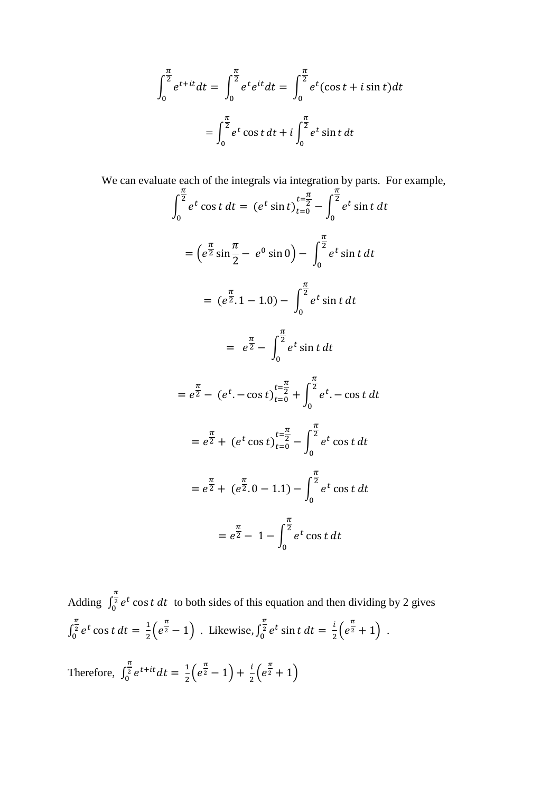$$
\int_0^{\frac{\pi}{2}} e^{t+it} dt = \int_0^{\frac{\pi}{2}} e^t e^{it} dt = \int_0^{\frac{\pi}{2}} e^t (\cos t + i \sin t) dt
$$

$$
= \int_0^{\frac{\pi}{2}} e^t \cos t dt + i \int_0^{\frac{\pi}{2}} e^t \sin t dt
$$

 We can evaluate each of the integrals via integration by parts. For example,  $\int e^t \cos t \, dt$  $\pi$  $\overline{\mathbf{c}}$  $\boldsymbol{0}$  $= (e^t \sin t)_{t=0}^{\infty}$  $t=\frac{\pi}{2}$  $\int_0^2 - \int_0^t e^t \sin t \, dt$  $\pi$  $\overline{\mathbf{c}}$  $\boldsymbol{0}$  $=\left(e^{\frac{\pi}{2}}\sin\right)$  $\pi$ 2  $- e^{0} \sin 0$   $\int e^{t} \sin t dt$  $\frac{\pi}{2}$  $\overline{\mathbf{c}}$  $\boldsymbol{0}$  $=$  (e  $\frac{\pi}{2}$ . 1 – 1.0) –  $\int_{}^{\overline{2}} e^{t} \sin t \, dt$  $\frac{\pi}{2}$  $\overline{\mathbf{c}}$  $\boldsymbol{0}$  $=$  e  $\frac{\pi}{2}$  -  $\int_{0}^{\overline{2}} e^t \sin t \, dt$  $\pi$  $\overline{\mathbf{c}}$  $\boldsymbol{0}$  $= e$  $\frac{\pi}{2} - (e^t - \cos t)_{t=0}^{t=\frac{\pi}{2}}$  $t=\frac{\pi}{2}$  $\begin{array}{c} 2 \\ 0 \end{array}$  +  $\int e^t$ .  $-\cos t \, dt$  $\pi$  $\overline{\mathbf{c}}$  $\boldsymbol{0}$  $= e$  $\frac{\pi}{2}$  + (e<sup>t</sup> cos t)<sub>t=0</sub><sup>t= $\frac{n}{2}$ </sup>  $t=\frac{\pi}{2}$  $\int_0^2 - \int_0^t e^t \cos t \, dt$  $\pi$  $\overline{\mathbf{c}}$  $\boldsymbol{0}$  $= e$  $\pi$  $2 + (e$  $\frac{\pi}{2}$ . 0 – 1.1) –  $\int_{}^{\overline{2}} e^t \cos t \, dt$  $\pi$  $\overline{\mathbf{c}}$  $\boldsymbol{0}$  $= e$  $\frac{\pi}{2}$  – 1 –  $\int$   $\frac{1}{2}$  e<sup>t</sup> cost dt  $\pi$  $\overline{\mathbf{c}}$  $\boldsymbol{0}$ 

Adding  $\int_0^2 e^t \cos t \, dt$  $\frac{\pi}{2}$  $\int_0^2 e^t \cos t \, dt$  to both sides of this equation and then dividing by 2 gives  $\int_0^{\overline{2}}e^t\cos t\,dt$  $\pi$  $\int_{0}^{\sqrt{2}} e^{t} \cos t \, dt = \frac{1}{2}$  $\frac{1}{2} (e^{\frac{\pi}{2}} - 1)$  . Likewise,  $\int_0^{\frac{\pi}{2}} e^t \sin t \, dt$  $\pi$  $\int_0^2 e^t \sin t \, dt = \frac{i}{2}$  $\frac{i}{2} (e^{\frac{\pi}{2}} + 1)$ . Therefore,  $\int_0^{\frac{\pi}{2}} e^{t+it} dt$  $\int_{0}^{\frac{\pi}{2}} e^{t+it} dt = \frac{1}{2}$  $\frac{1}{2} (e^{\frac{\pi}{2}}-1)+\frac{i}{2} (e^{\frac{\pi}{2}}+1)$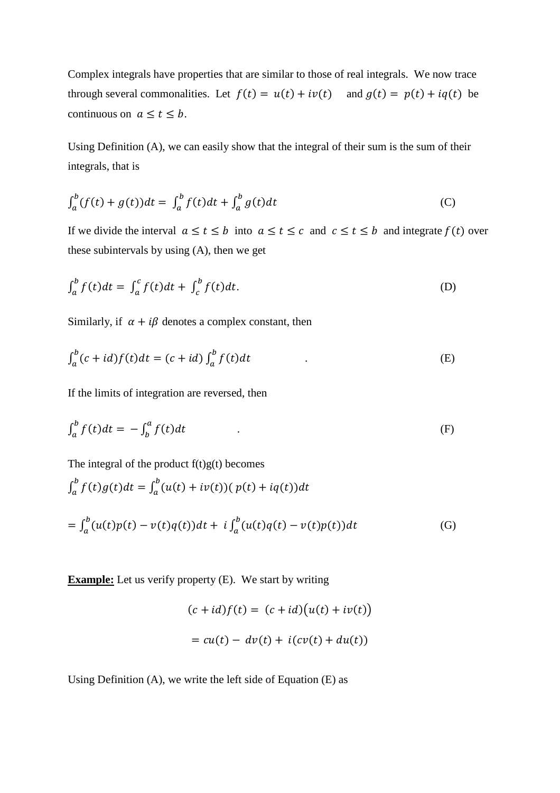Complex integrals have properties that are similar to those of real integrals. We now trace through several commonalities. Let  $f(t) = u(t) + iv(t)$  and  $g(t) = p(t) + iq(t)$  be continuous on  $a \le t \le b$ .

Using Definition (A), we can easily show that the integral of their sum is the sum of their integrals, that is

$$
\int_{a}^{b} (f(t) + g(t))dt = \int_{a}^{b} f(t)dt + \int_{a}^{b} g(t)dt
$$
 (C)

If we divide the interval  $a \le t \le b$  into  $a \le t \le c$  and  $c \le t \le b$  and integrate  $f(t)$  over these subintervals by using (A), then we get

$$
\int_{a}^{b} f(t)dt = \int_{a}^{c} f(t)dt + \int_{c}^{b} f(t)dt.
$$
 (D)

Similarly, if  $\alpha + i\beta$  denotes a complex constant, then

$$
\int_{a}^{b} (c+id)f(t)dt = (c+id)\int_{a}^{b} f(t)dt
$$
 (E)

If the limits of integration are reversed, then

$$
\int_{a}^{b} f(t)dt = -\int_{b}^{a} f(t)dt
$$
 (F)

The integral of the product  $f(t)g(t)$  becomes

$$
\int_{a}^{b} f(t)g(t)dt = \int_{a}^{b} (u(t) + iv(t)) (p(t) + iq(t))dt
$$
  
= 
$$
\int_{a}^{b} (u(t)p(t) - v(t)q(t))dt + i \int_{a}^{b} (u(t)q(t) - v(t)p(t))dt
$$
 (G)

**Example:** Let us verify property (E). We start by writing

$$
(c + id) f(t) = (c + id) (u(t) + iv(t))
$$

$$
= cu(t) - dv(t) + i(cv(t) + du(t))
$$

Using Definition (A), we write the left side of Equation (E) as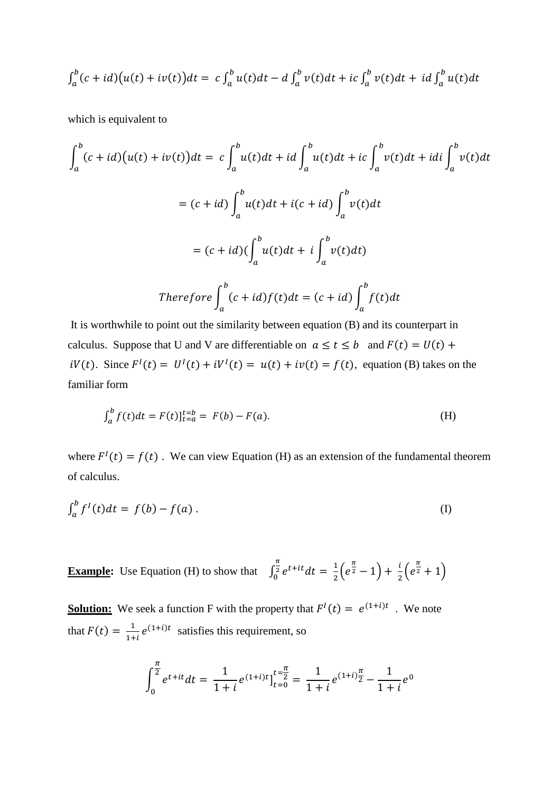$$
\int_a^b (c+id) \big(u(t)+iv(t)\big) dt = c \int_a^b u(t) dt - d \int_a^b v(t) dt + ic \int_a^b v(t) dt + id \int_a^b u(t) dt
$$

which is equivalent to

$$
\int_{a}^{b} (c+id)(u(t) + iv(t))dt = c \int_{a}^{b} u(t)dt + id \int_{a}^{b} u(t)dt + ic \int_{a}^{b} v(t)dt + idi \int_{a}^{b} v(t)dt
$$

$$
= (c+id) \int_{a}^{b} u(t)dt + i(c+id) \int_{a}^{b} v(t)dt
$$

$$
= (c+id)(\int_{a}^{b} u(t)dt + i \int_{a}^{b} v(t)dt)
$$

$$
= (c+id)(\int_{a}^{b} u(t)dt + i \int_{a}^{b} v(t)dt)
$$
Therefore 
$$
\int_{a}^{b} (c+id)f(t)dt = (c+id)\int_{a}^{b} f(t)dt
$$

 It is worthwhile to point out the similarity between equation (B) and its counterpart in calculus. Suppose that U and V are differentiable on  $a \le t \le b$  and  $F(t) = U(t) +$  $iV(t)$ . Since  $F^I(t) = U^I(t) + iV^I(t) = u(t) + iv(t) = f(t)$ , equation (B) takes on the familiar form

$$
\int_{a}^{b} f(t)dt = F(t)\Big|_{t=a}^{t=b} = F(b) - F(a). \tag{H}
$$

where  $F^{I}(t) = f(t)$ . We can view Equation (H) as an extension of the fundamental theorem of calculus.

$$
\int_{a}^{b} f^{I}(t)dt = f(b) - f(a).
$$
 (I)

**Example:** Use Equation (H) to show that  $\int_0^{\frac{\pi}{2}} e^{t+it} dt$  $\int_{0}^{\frac{1}{2}} e^{t+it} dt = \frac{1}{2}$  $\frac{1}{2} \left( e^{\frac{\pi}{2}} - 1 \right) + \frac{i}{2} \left( e^{\frac{\pi}{2}} + 1 \right)$ 

**<u>Solution:</u>** We seek a function F with the property that  $F^I(t) = e^{(1+i)t}$ . We note that  $F(t) = \frac{1}{1+t}$  $\frac{1}{1+i}e^{(1+i)t}$  satisfies this requirement, so

$$
\int_0^{\frac{\pi}{2}} e^{t+it} dt = \frac{1}{1+i} e^{(1+i)t} \Big|_{t=0}^{t=\frac{\pi}{2}} = \frac{1}{1+i} e^{(1+i)\frac{\pi}{2}} - \frac{1}{1+i} e^0
$$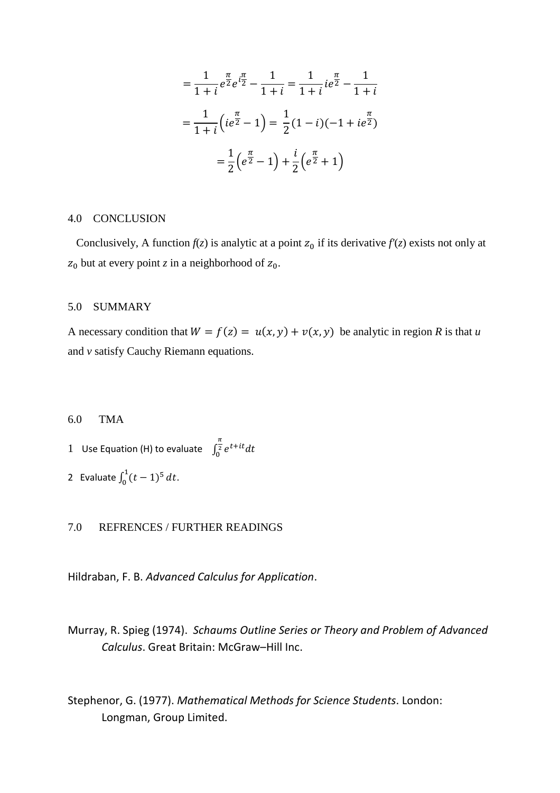$$
= \frac{1}{1+i}e^{\frac{\pi}{2}}e^{i\frac{\pi}{2}} - \frac{1}{1+i} = \frac{1}{1+i}ie^{\frac{\pi}{2}} - \frac{1}{1+i}
$$

$$
= \frac{1}{1+i}(ie^{\frac{\pi}{2}} - 1) = \frac{1}{2}(1-i)(-1+ie^{\frac{\pi}{2}})
$$

$$
= \frac{1}{2}(e^{\frac{\pi}{2}} - 1) + \frac{i}{2}(e^{\frac{\pi}{2}} + 1)
$$

#### 4.0 CONCLUSION

Conclusively, A function  $f(z)$  is analytic at a point  $z_0$  if its derivative  $f'(z)$  exists not only at  $z_0$  but at every point *z* in a neighborhood of  $z_0$ .

#### 5.0 SUMMARY

A necessary condition that  $W = f(z) = u(x, y) + v(x, y)$  be analytic in region *R* is that *u* and *v* satisfy Cauchy Riemann equations.

#### 6.0 TMA

1 Use Equation (H) to evaluate  $\int_{0}^{\frac{\pi}{2}} e^{t+it} dt$  $\int_0^2$ 

2 Evaluate  $\int_0^1 (t-1)^5$  $\int_0^1 (t-1)^5 dt$ .

#### 7.0 REFRENCES / FURTHER READINGS

Hildraban, F. B. *Advanced Calculus for Application*.

Murray, R. Spieg (1974). *Schaums Outline Series or Theory and Problem of Advanced Calculus*. Great Britain: McGraw–Hill Inc.

Stephenor, G. (1977). *Mathematical Methods for Science Students*. London: Longman, Group Limited.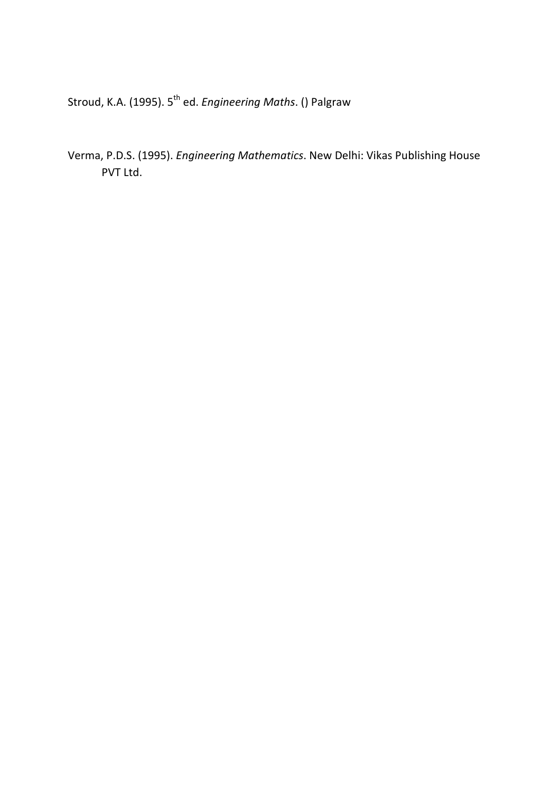Stroud, K.A. (1995). 5<sup>th</sup> ed. *Engineering Maths*. () Palgraw

Verma, P.D.S. (1995). *Engineering Mathematics*. New Delhi: Vikas Publishing House PVT Ltd.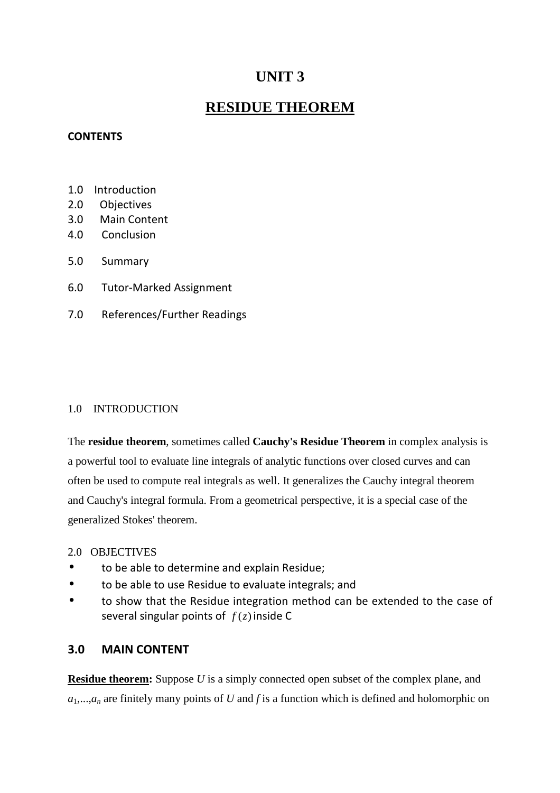# **UNIT 3**

# **RESIDUE THEOREM**

## **CONTENTS**

- 1.0 Introduction
- 2.0 Objectives
- 3.0 Main Content
- 4.0 Conclusion
- 5.0 Summary
- 6.0 Tutor-Marked Assignment
- 7.0 References/Further Readings

## 1.0 INTRODUCTION

The **residue theorem**, sometimes called **Cauchy's Residue Theorem** in complex analysis is a powerful tool to evaluate line integrals of analytic functions over closed curves and can often be used to compute real integrals as well. It generalizes the Cauchy integral theorem and Cauchy's integral formula. From a geometrical perspective, it is a special case of the generalized Stokes' theorem.

## 2.0 OBJECTIVES

- to be able to determine and explain Residue;
- to be able to use Residue to evaluate integrals; and
- to show that the Residue integration method can be extended to the case of several singular points of  $f(z)$  inside C

# **3.0 MAIN CONTENT**

**Residue theorem:** Suppose *U* is a simply connected open subset of the complex plane, and  $a_1, \ldots, a_n$  are finitely many points of *U* and *f* is a function which is defined and holomorphic on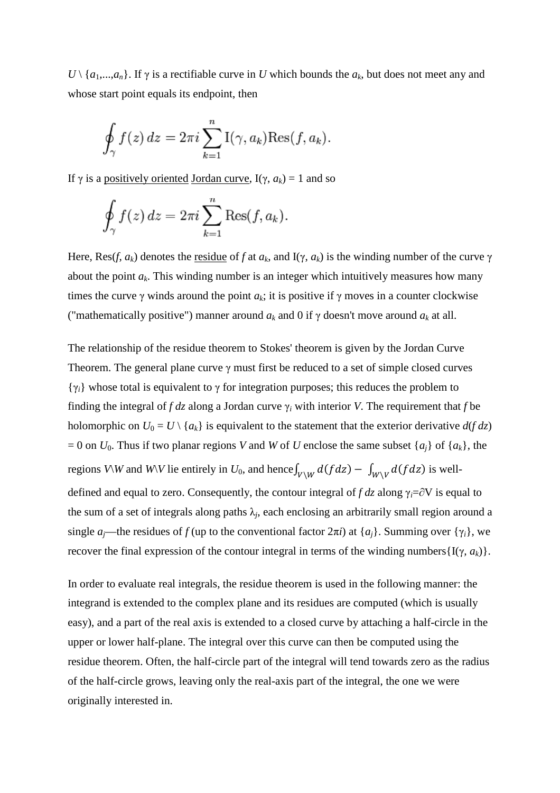$U \setminus \{a_1,...,a_n\}$ . If  $\gamma$  is a rectifiable curve in *U* which bounds the  $a_k$ , but does not meet any and whose start point equals its endpoint, then

$$
\oint_{\gamma} f(z) dz = 2\pi i \sum_{k=1}^{n} I(\gamma, a_k) \text{Res}(f, a_k).
$$

If γ is a positively oriented Jordan curve,  $I(γ, a_k) = 1$  and so

$$
\oint_{\gamma} f(z) dz = 2\pi i \sum_{k=1}^{n} \text{Res}(f, a_k).
$$

Here, Res(*f*,  $a_k$ ) denotes the <u>residue</u> of *f* at  $a_k$ , and I( $\gamma$ ,  $a_k$ ) is the winding number of the curve  $\gamma$ about the point  $a_k$ . This winding number is an integer which intuitively measures how many times the curve  $\gamma$  winds around the point  $a_k$ ; it is positive if  $\gamma$  moves in a counter clockwise ("mathematically positive") manner around  $a_k$  and 0 if  $\gamma$  doesn't move around  $a_k$  at all.

The relationship of the residue theorem to Stokes' theorem is given by the Jordan Curve Theorem. The general plane curve  $\gamma$  must first be reduced to a set of simple closed curves {γ*i*} whose total is equivalent to γ for integration purposes; this reduces the problem to finding the integral of  $f \, dz$  along a Jordan curve  $\gamma_i$  with interior *V*. The requirement that  $f$  be holomorphic on  $U_0 = U \setminus \{a_k\}$  is equivalent to the statement that the exterior derivative  $d(f \, dz)$  $= 0$  on  $U_0$ . Thus if two planar regions *V* and *W* of *U* enclose the same subset  $\{a_i\}$  of  $\{a_k\}$ , the regions  $V\backslash W$  and  $W\backslash V$  lie entirely in  $U_0$ , and hence $\int_{V\backslash W} d(fdz) - \int_{W\backslash V} d(fdz)$  is welldefined and equal to zero. Consequently, the contour integral of *f dz* along γ*i*=∂V is equal to the sum of a set of integrals along paths  $\lambda_j$ , each enclosing an arbitrarily small region around a single *a*<sub>*j*</sub>—the residues of *f* (up to the conventional factor  $2\pi i$ ) at  $\{a_i\}$ . Summing over  $\{\gamma_i\}$ , we recover the final expression of the contour integral in terms of the winding numbers $\{I(\gamma, a_k)\}.$ 

In order to evaluate real integrals, the residue theorem is used in the following manner: the integrand is extended to the complex plane and its residues are computed (which is usually easy), and a part of the real axis is extended to a closed curve by attaching a half-circle in the upper or lower half-plane. The integral over this curve can then be computed using the residue theorem. Often, the half-circle part of the integral will tend towards zero as the radius of the half-circle grows, leaving only the real-axis part of the integral, the one we were originally interested in.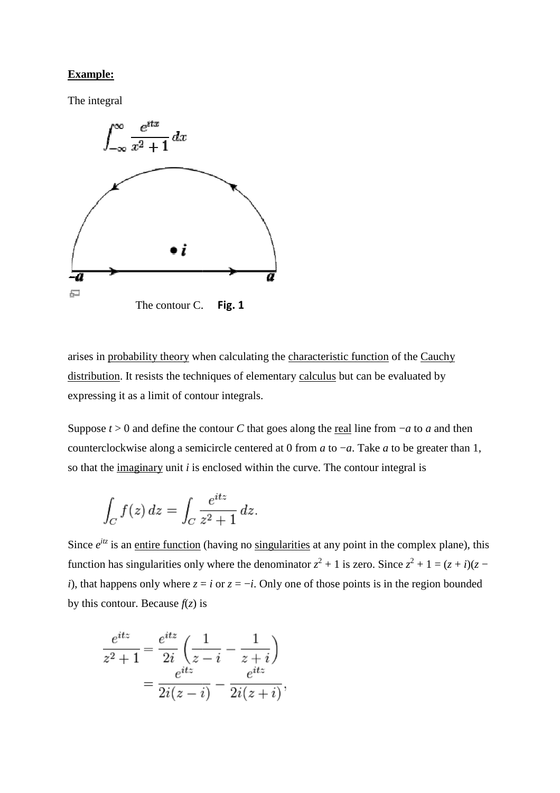#### **Example:**

The integral



arises in probability theory when calculating the characteristic function of the Cauchy distribution. It resists the techniques of elementary calculus but can be evaluated by expressing it as a limit of contour integrals.

Suppose *t* > 0 and define the contour *C* that goes along the <u>real</u> line from −*a* to *a* and then counterclockwise along a semicircle centered at 0 from *a* to −*a*. Take *a* to be greater than 1, so that the imaginary unit *i* is enclosed within the curve. The contour integral is

$$
\int_C f(z) dz = \int_C \frac{e^{itz}}{z^2 + 1} dz.
$$

Since  $e^{itz}$  is an <u>entire function</u> (having no singularities at any point in the complex plane), this function has singularities only where the denominator  $z^2 + 1$  is zero. Since  $z^2 + 1 = (z + i)(z - i)$ *i*), that happens only where  $z = i$  or  $z = -i$ . Only one of those points is in the region bounded by this contour. Because  $f(z)$  is

$$
\frac{e^{itz}}{z^2+1} = \frac{e^{itz}}{2i} \left( \frac{1}{z-i} - \frac{1}{z+i} \right) \n= \frac{e^{itz}}{2i(z-i)} - \frac{e^{itz}}{2i(z+i)},
$$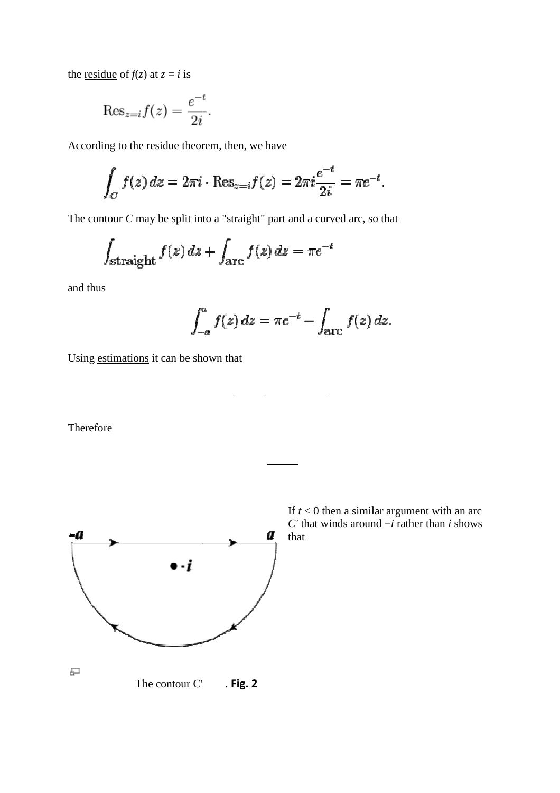the <u>residue</u> of  $f(z)$  at  $z = i$  is

$$
\mathrm{Res}_{z=i} f(z) = \frac{e^{-t}}{2i}.
$$

According to the residue theorem, then, we have

$$
\int_C f(z) dz = 2\pi i \cdot \text{Res}_{z=i} f(z) = 2\pi i \frac{e^{-t}}{2i} = \pi e^{-t}.
$$

The contour *C* may be split into a "straight" part and a curved arc, so that

$$
\int_{\text{straight}} f(z) \, dz + \int_{\text{arc}} f(z) \, dz = \pi e^{-t}
$$

and thus

$$
\int_{-a}^{a} f(z) dz = \pi e^{-t} - \int_{\text{arc}} f(z) dz.
$$

Using estimations it can be shown that

Therefore



If  $t < 0$  then a similar argument with an arc *C'* that winds around −*i* rather than *i* shows that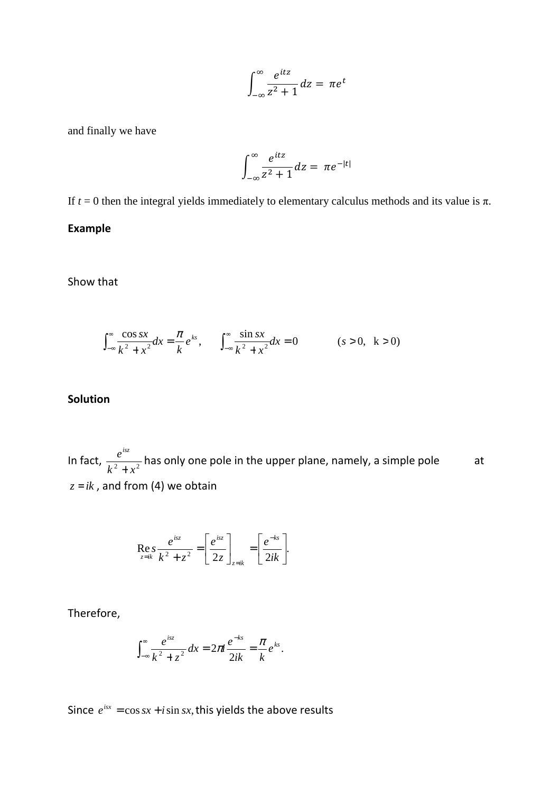$$
\int_{-\infty}^{\infty} \frac{e^{itz}}{z^2 + 1} dz = \pi e^t
$$

and finally we have

$$
\int_{-\infty}^{\infty} \frac{e^{itz}}{z^2 + 1} dz = \pi e^{-|t|}
$$

If  $t = 0$  then the integral yields immediately to elementary calculus methods and its value is  $\pi$ .

## **Example**

Show that

$$
\int_{-\infty}^{\infty} \frac{\cos sx}{k^2 + x^2} dx = \frac{\pi}{k} e^{ks}, \qquad \int_{-\infty}^{\infty} \frac{\sin sx}{k^2 + x^2} dx = 0 \qquad (s > 0, \ k > 0)
$$

#### **Solution**

In fact,  $\frac{e}{k^2 + x^2}$ *e isz* + has only one pole in the upper plane, namely, a simple pole at  $z = ik$ , and from (4) we obtain

$$
\operatorname{Re} s \frac{e^{isz}}{k^2 + z^2} = \left[ \frac{e^{isz}}{2z} \right]_{z=ik} = \left[ \frac{e^{-ks}}{2ik} \right].
$$

Therefore,

$$
\int_{-\infty}^{\infty} \frac{e^{isz}}{k^2 + z^2} dx = 2\pi i \frac{e^{-ks}}{2ik} = \frac{\pi}{k} e^{ks}.
$$

Since  $e^{isx} = \cos(sx) + i \sin(sx)$ , this yields the above results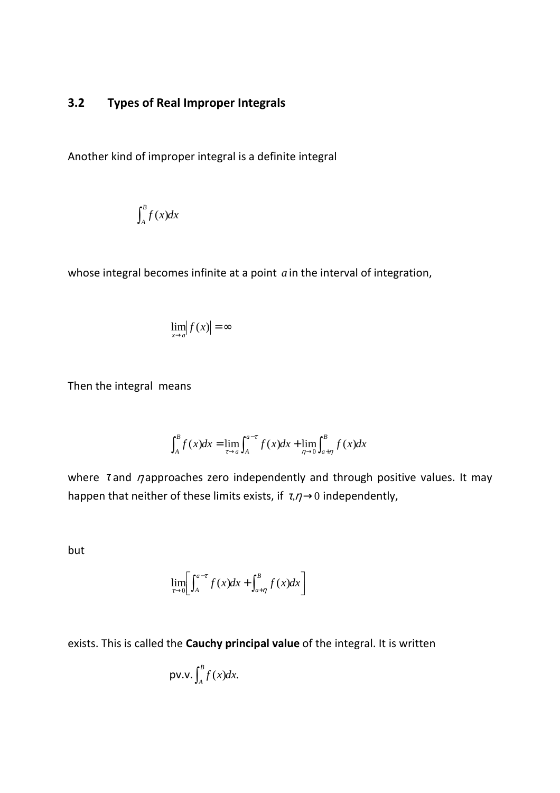# **3.2 Types of Real Improper Integrals**

Another kind of improper integral is a definite integral

$$
\int_A^B f(x)dx
$$

whose integral becomes infinite at a point *a* in the interval of integration,

$$
\lim_{x\to a}|f(x)| = \infty
$$

Then the integral means

$$
\int_{A}^{B} f(x)dx = \lim_{\tau \to a} \int_{A}^{a-\tau} f(x)dx + \lim_{\eta \to 0} \int_{a+\eta}^{B} f(x)dx
$$

where  $\tau$  and  $\eta$  approaches zero independently and through positive values. It may happen that neither of these limits exists, if  $\tau, \eta \rightarrow 0$  independently,

but

$$
\lim_{\tau \to 0} \left[ \int_{A}^{a-\tau} f(x) dx + \int_{a+\eta}^{B} f(x) dx \right]
$$

exists. This is called the **Cauchy principal value** of the integral. It is written

$$
\text{pv.v.} \int_A^B f(x) dx.
$$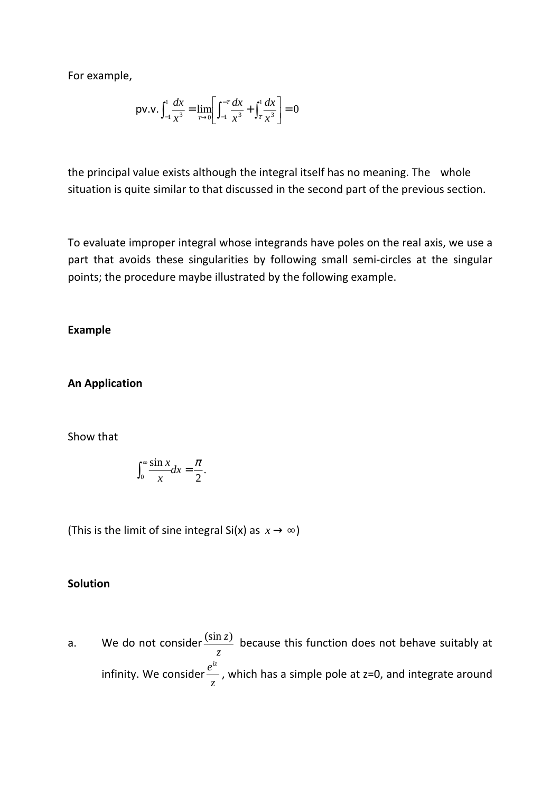For example,

$$
\text{pv.v.} \int_{-1}^{1} \frac{dx}{x^3} = \lim_{\tau \to 0} \left[ \int_{-1}^{\tau} \frac{dx}{x^3} + \int_{\tau}^{1} \frac{dx}{x^3} \right] = 0
$$

the principal value exists although the integral itself has no meaning. The whole situation is quite similar to that discussed in the second part of the previous section.

To evaluate improper integral whose integrands have poles on the real axis, we use a part that avoids these singularities by following small semi-circles at the singular points; the procedure maybe illustrated by the following example.

**Example** 

**An Application** 

Show that

$$
\int_0^\infty \frac{\sin x}{x} dx = \frac{\pi}{2}.
$$

(This is the limit of sine integral Si(x) as  $x \rightarrow \infty$ )

#### **Solution**

a. We do not consider *z*  $\frac{\sin z}{z}$  because this function does not behave suitably at infinity. We consider *z e iz* , which has a simple pole at z=0, and integrate around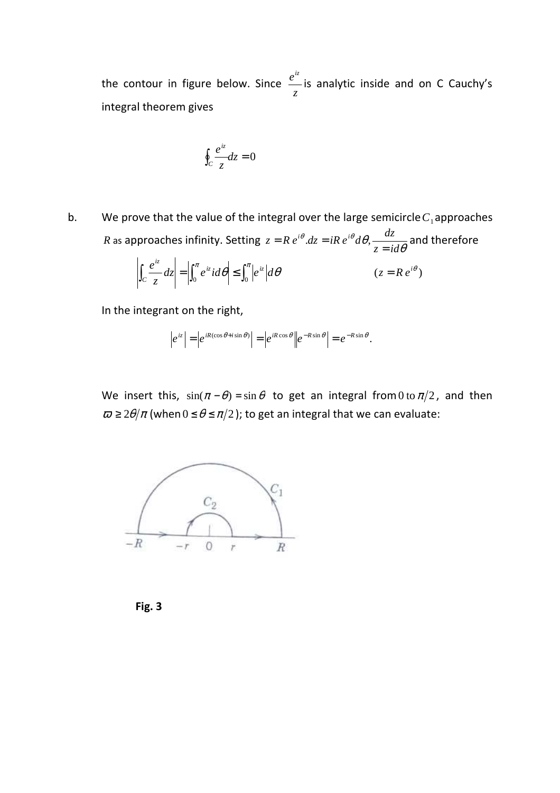the contour in figure below. Since *z e iz* is analytic inside and on C Cauchy's integral theorem gives

$$
\oint_C \frac{e^{iz}}{z} dz = 0
$$

b. We prove that the value of the integral over the large semicircle  $C_1$  approaches *R* as approaches infinity. Setting  $z = Re^{i\theta} dz = iRe^{i\theta} d\theta$ ,  $\frac{dz}{z = id\theta}$  $\theta$ .dz = iR  $e^{i\theta}d\theta$ . *z id*  $z = R e^{i\theta} dz = iR e^{i\theta} d\theta, \frac{dz}{dt}$ =  $= R e^{i\theta} dz = iR e^{i\theta} d\theta$ ,  $\frac{dz}{dz}$  and therefore

$$
\left| \int_C \frac{e^{iz}}{z} dz \right| = \left| \int_0^{\pi} e^{iz} i d\theta \right| \le \int_0^{\pi} \left| e^{iz} \right| d\theta \qquad (z = Re^{i\theta})
$$

In the integrant on the right,

$$
\left|e^{iz}\right| = \left|e^{iR(\cos\theta + i\sin\theta)}\right| = \left|e^{iR\cos\theta}\right| \left|e^{-R\sin\theta}\right| = e^{-R\sin\theta}.
$$

We insert this,  $sin(\pi - \theta) = sin \theta$  to get an integral from 0 to  $\pi/2$ , and then  $\varpi \ge 2\theta/\pi$  (when  $0 \le \theta \le \pi/2$ ); to get an integral that we can evaluate:



**Fig. 3**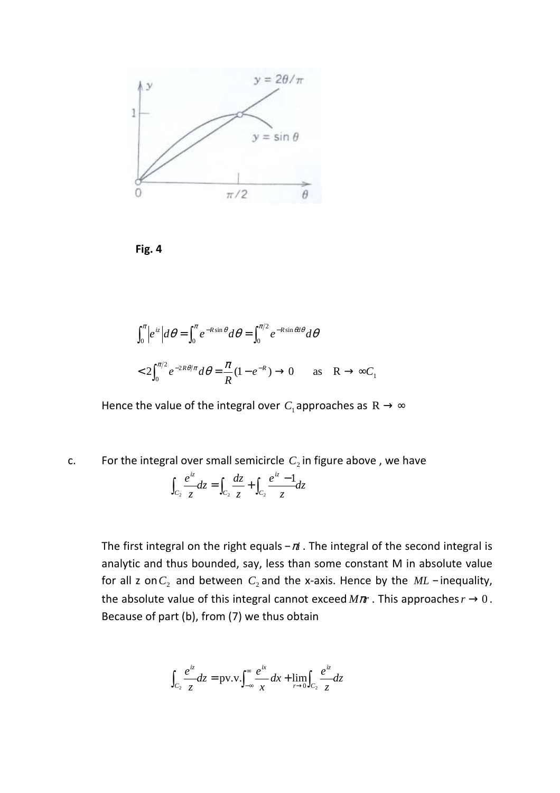

**Fig. 4** 

$$
\int_0^{\pi} |e^{iz}| d\theta = \int_0^{\pi} e^{-R\sin\theta} d\theta = \int_0^{\pi/2} e^{-R\sin\theta} d\theta
$$
  
<  $2\int_0^{\pi/2} e^{-2R\theta/\pi} d\theta = \frac{\pi}{R} (1 - e^{-R}) \to 0$  as  $R \to \infty C_1$ 

Hence the value of the integral over  $C_1$  approaches as  $R \rightarrow \infty$ 

c.  $\blacksquare$  For the integral over small semicircle  $C_2$  in figure above, we have

$$
\int_{C_2} \frac{e^{iz}}{z} dz = \int_{C_2} \frac{dz}{z} + \int_{C_2} \frac{e^{iz} - 1}{z} dz
$$

The first integral on the right equals  $-\pi$  . The integral of the second integral is analytic and thus bounded, say, less than some constant M in absolute value for all z on $C_2$  and between  $C_2$  and the x-axis. Hence by the  $ML$  – inequality, the absolute value of this integral cannot exceed  $M\pi r$ . This approaches  $r \rightarrow 0$ . Because of part (b), from (7) we thus obtain

$$
\int_{C_2} \frac{e^{iz}}{z} dz = \text{pv.v.} \int_{-\infty}^{\infty} \frac{e^{ix}}{x} dx + \lim_{r \to 0} \int_{C_2} \frac{e^{iz}}{z} dz
$$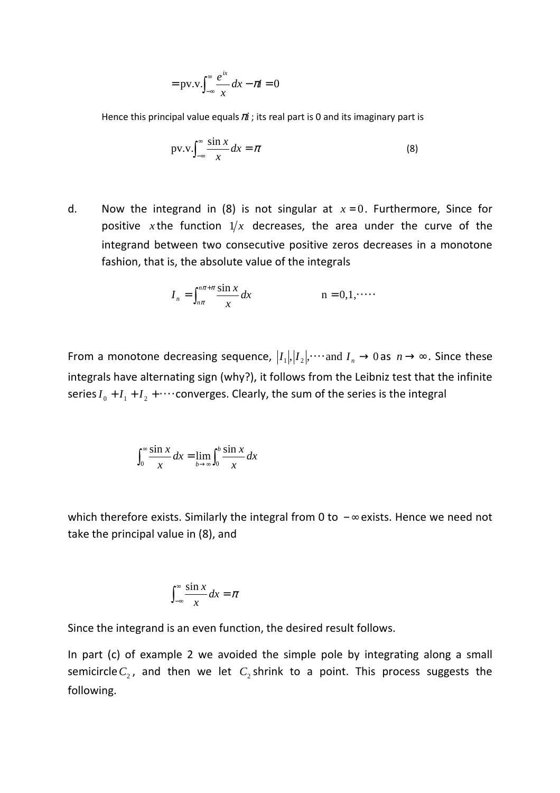$$
= \text{pv.v.} \int_{-\infty}^{\infty} \frac{e^{ix}}{x} dx - \pi i = 0
$$

Hence this principal value equals  $\pi i$ ; its real part is 0 and its imaginary part is

$$
pv.v.\int_{-\infty}^{\infty} \frac{\sin x}{x} dx = \pi
$$
 (8)

d. Now the integrand in (8) is not singular at  $x=0$ . Furthermore, Since for positive *x* the function  $1/x$  decreases, the area under the curve of the integrand between two consecutive positive zeros decreases in a monotone fashion, that is, the absolute value of the integrals

$$
I_n = \int_{n\pi}^{n\pi + \pi} \frac{\sin x}{x} dx \qquad \qquad n = 0, 1, \dots
$$

From a monotone decreasing sequence,  $|I_1|, |I_2|, \cdots$  and  $I_n \to 0$  as  $n \to \infty$ . Since these integrals have alternating sign (why?), it follows from the Leibniz test that the infinite series  $I_0 + I_1 + I_2 + \cdots$  converges. Clearly, the sum of the series is the integral

$$
\int_0^\infty \frac{\sin x}{x} dx = \lim_{b \to \infty} \int_0^b \frac{\sin x}{x} dx
$$

which therefore exists. Similarly the integral from 0 to  $-\infty$  exists. Hence we need not take the principal value in (8), and

$$
\int_{-\infty}^{\infty} \frac{\sin x}{x} dx = \pi
$$

Since the integrand is an even function, the desired result follows.

In part (c) of example 2 we avoided the simple pole by integrating along a small semicircle  $C_2$ , and then we let  $C_2$  shrink to a point. This process suggests the following.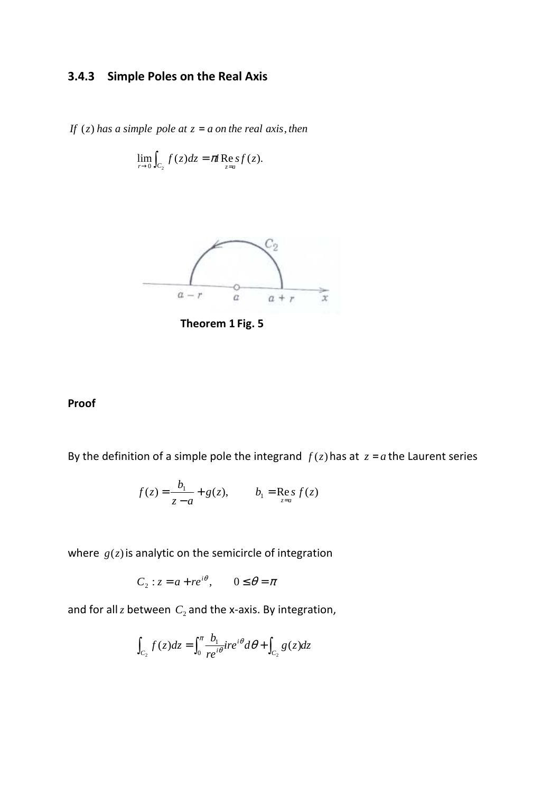# **3.4.3 Simple Poles on the Real Axis**

*If*  $(z)$  *has a simple pole at*  $z = a$  *on the real axis, then* 

$$
\lim_{r\to 0}\int_{C_2}f(z)dz=\pi\operatorname{Re}sf(z).
$$



**Theorem 1 Fig. 5** 

#### **Proof**

By the definition of a simple pole the integrand  $f(z)$  has at  $z = a$  the Laurent series

$$
f(z) = \frac{b_1}{z - a} + g(z),
$$
  $b_1 = \text{Re } s f(z)$ 

where  $g(z)$  is analytic on the semicircle of integration

$$
C_2: z = a + re^{i\theta}, \qquad 0 \le \theta = \pi
$$

and for all  $z$  between  $C_2$  and the x-axis. By integration,

$$
\int_{C_2} f(z)dz = \int_0^{\pi} \frac{b_1}{re^{i\theta}}ire^{i\theta} d\theta + \int_{C_2} g(z)dz
$$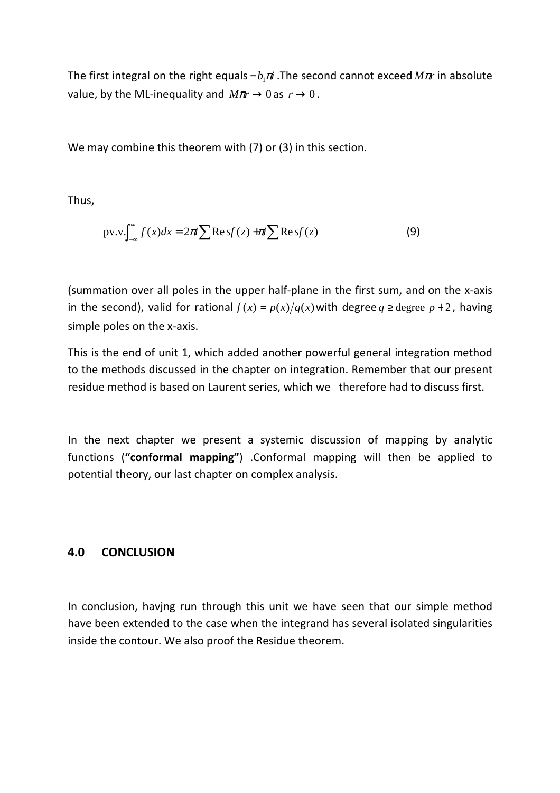The first integral on the right equals *b* <sup>π</sup>*i* − <sup>1</sup> .The second cannot exceed *M*π*r* in absolute value, by the ML-inequality and  $M\pi r \rightarrow 0$  as  $r \rightarrow 0$ .

We may combine this theorem with (7) or (3) in this section.

Thus,

$$
pv.v. \int_{-\infty}^{\infty} f(x)dx = 2\pi i \sum \text{Re}\,sf(z) + \pi i \sum \text{Re}\,sf(z)
$$
 (9)

(summation over all poles in the upper half-plane in the first sum, and on the x-axis in the second), valid for rational  $f(x) = p(x)/q(x)$  with degree  $q \ge \text{degree } p + 2$ , having simple poles on the x-axis.

This is the end of unit 1, which added another powerful general integration method to the methods discussed in the chapter on integration. Remember that our present residue method is based on Laurent series, which we therefore had to discuss first.

In the next chapter we present a systemic discussion of mapping by analytic functions (**"conformal mapping"**) .Conformal mapping will then be applied to potential theory, our last chapter on complex analysis.

## **4.0 CONCLUSION**

In conclusion, havjng run through this unit we have seen that our simple method have been extended to the case when the integrand has several isolated singularities inside the contour. We also proof the Residue theorem.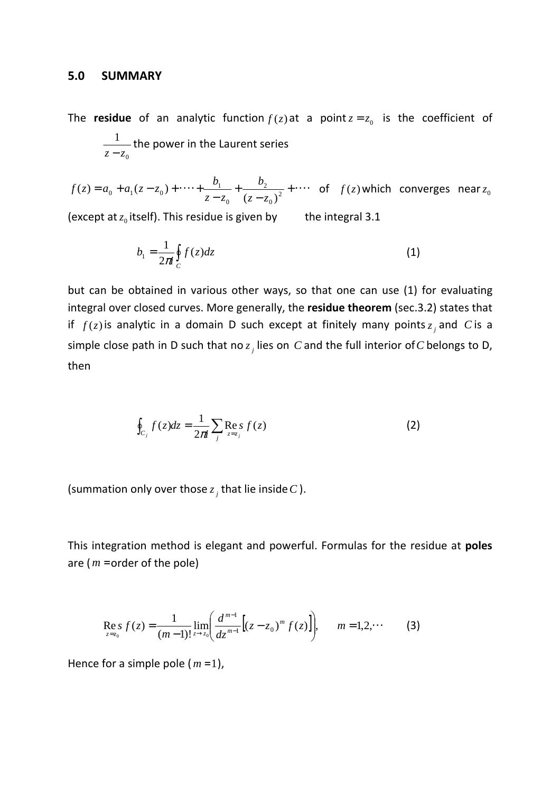#### **5.0 SUMMARY**

The **residue** of an analytic function  $f(z)$  at a point  $z = z_0$  is the coefficient of 0 1 *z* − *z* the power in the Laurent series

 $+\cdots$ − +  $= a_0 + a_1(z - z_0) + \cdots + \frac{b_1}{z - z_0} + \frac{b_2}{(z - z_0)^2}$  $\mathbf{0}$ 2 0  $_0 + a_1(z-z_0) + \cdots + \frac{b_1}{z-z_0} + \frac{b_2}{(z-z_0)}$  $(z) = a_0 + a_1(z - z_0)$  $z - z$ *b*  $z - z$  $f(z) = a_0 + a_1(z - z_0) + \dots + \frac{b_1}{z - z_0} + \frac{b_2}{(z - z_0)^2} + \dots$  of  $f(z)$  which converges near  $z_0$ 

(except at  $z_0$  itself). This residue is given by  $\qquad$  the integral 3.1

$$
b_1 = \frac{1}{2\pi i} \oint_C f(z) dz \tag{1}
$$

but can be obtained in various other ways, so that one can use (1) for evaluating integral over closed curves. More generally, the **residue theorem** (sec.3.2) states that if  $f(z)$  is analytic in a domain D such except at finitely many points  $z_j$  and C is a simple close path in D such that no  $z_j$  lies on  $C$  and the full interior of  $C$  belongs to D, then

$$
\oint_{C_j} f(z)dz = \frac{1}{2\pi i} \sum_j \operatorname{Re} s_j f(z)
$$
\n(2)

(summation only over those  $z_j$  that lie inside  $C$  ).

This integration method is elegant and powerful. Formulas for the residue at **poles** are ( *m* =order of the pole)

$$
\operatorname{Res}_{z=z_0} f(z) = \frac{1}{(m-1)!} \lim_{z \to z_0} \left( \frac{d^{m-1}}{dz^{m-1}} \left[ (z - z_0)^m f(z) \right] \right), \qquad m = 1, 2, \cdots \tag{3}
$$

Hence for a simple pole  $(m=1)$ ,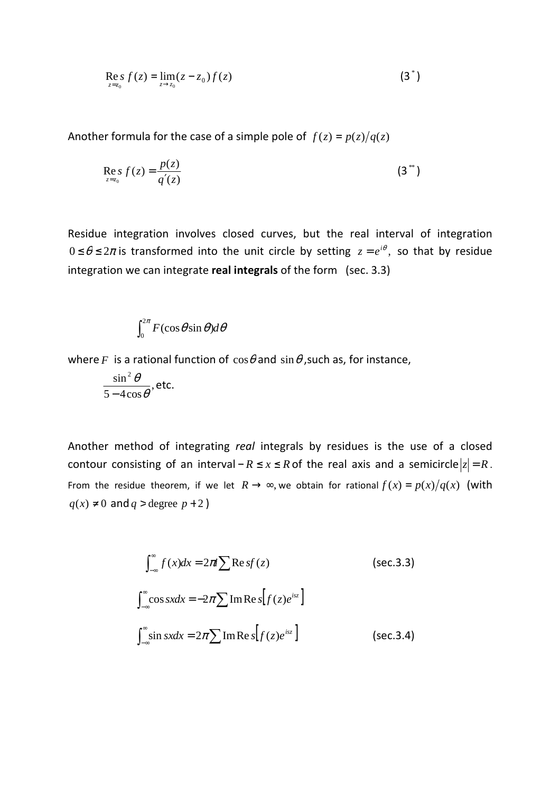$$
\mathop{\rm Re}\limits_{z=z_0} f(z) = \lim_{z \to z_0} (z - z_0) f(z) \tag{3^*}
$$

Another formula for the case of a simple pole of  $f(z) = p(z)/q(z)$ 

$$
\mathop{\rm Re}\limits_{z=z_0} s f(z) = \frac{p(z)}{q'(z)}
$$
 (3<sup>\*\*</sup>)

Residue integration involves closed curves, but the real interval of integration  $0 \le \theta \le 2\pi$  is transformed into the unit circle by setting  $z = e^{i\theta}$ , so that by residue integration we can integrate **real integrals** of the form (sec. 3.3)

$$
\int_0^{2\pi} F(\cos\theta \sin\theta) d\theta
$$

where *F* is a rational function of  $\cos\theta$  and  $\sin\theta$ , such as, for instance,

$$
\frac{\sin^2\theta}{5-4\cos\theta}, \text{etc.}
$$

Another method of integrating *real* integrals by residues is the use of a closed contour consisting of an interval –  $R \le x \le R$  of the real axis and a semicircle  $|z| = R$ . From the residue theorem, if we let  $R \rightarrow \infty$ , we obtain for rational  $f(x) = p(x)/q(x)$  (with  $q(x) \neq 0$  and  $q >$  degree  $p + 2$  )

$$
\int_{-\infty}^{\infty} f(x)dx = 2\pi i \sum \text{Re } sf(z)
$$
 (sec.3.3)  

$$
\int_{-\infty}^{\infty} \cos sxdx = -2\pi \sum \text{Im } \text{Re } s[f(z)e^{isz}]
$$
  

$$
\int_{-\infty}^{\infty} \sin sxdx = 2\pi \sum \text{Im } \text{Re } s[f(z)e^{isz}]
$$
 (sec.3.4)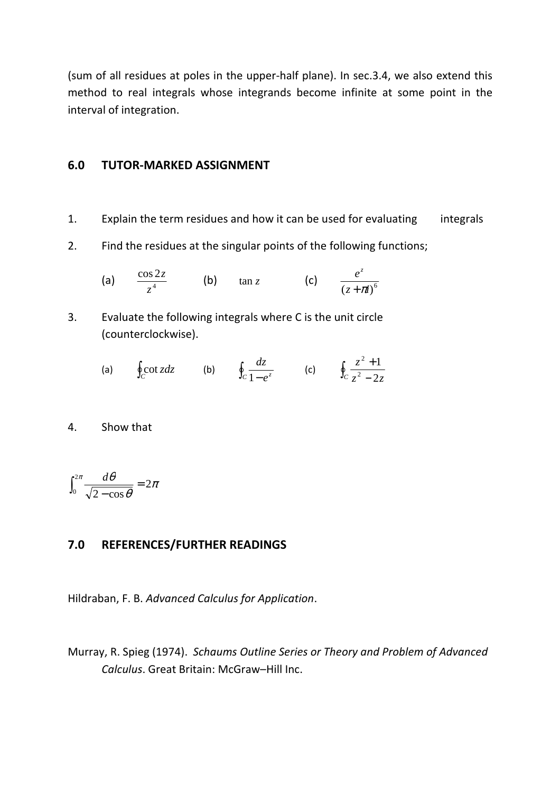(sum of all residues at poles in the upper-half plane). In sec.3.4, we also extend this method to real integrals whose integrands become infinite at some point in the interval of integration.

#### **6.0 TUTOR-MARKED ASSIGNMENT**

- 1. Explain the term residues and how it can be used for evaluating integrals
- 2. Find the residues at the singular points of the following functions;

(a) 
$$
\frac{\cos 2z}{z^4}
$$
 (b)  $\tan z$  (c)  $\frac{e^z}{(z + \pi i)^6}$ 

- 3. Evaluate the following integrals where C is the unit circle (counterclockwise).
- (a)  $\oint_C \cot z \, dz$  (b)  $\oint_C \frac{dz}{1 e^z}$ *dz*  $\frac{az}{1-e^z}$  (c)  $\oint_C \frac{z}{z^2-1}$ +  $C_z^2 - 2z$ *z* 2 1 2 2
- 4. Show that

$$
\int_0^{2\pi} \frac{d\theta}{\sqrt{2-\cos\theta}} = 2\pi
$$

#### **7.0 REFERENCES/FURTHER READINGS**

Hildraban, F. B. *Advanced Calculus for Application*.

Murray, R. Spieg (1974). *Schaums Outline Series or Theory and Problem of Advanced Calculus*. Great Britain: McGraw–Hill Inc.